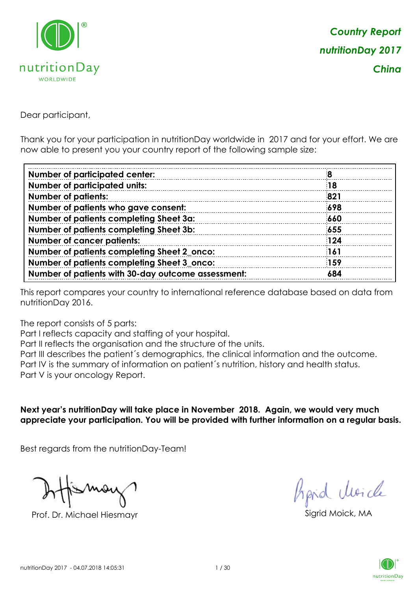

Dear participant,

Thank you for your participation in nutritionDay worldwide in 2017 and for your effort. We are now able to present you your country report of the following sample size:

| <b>Number of participated center:</b>              |     |
|----------------------------------------------------|-----|
| <b>Number of participated units:</b>               | 18  |
| <b>Number of patients:</b>                         | 821 |
| Number of patients who gave consent:               | 698 |
| Number of patients completing Sheet 3a:            | 660 |
| Number of patients completing Sheet 3b:            | 655 |
| <b>Number of cancer patients:</b>                  | 124 |
| Number of patients completing Sheet 2_onco:        | 161 |
| Number of patients completing Sheet 3_onco:        | 159 |
| Number of patients with 30-day outcome assessment: | 684 |

This report compares your country to international reference database based on data from nutritionDay 2016.

The report consists of 5 parts:

Part I reflects capacity and staffing of your hospital.

Part II reflects the organisation and the structure of the units.

Part III describes the patient´s demographics, the clinical information and the outcome.

Part IV is the summary of information on patient´s nutrition, history and health status.

Part V is your oncology Report.

**Next year's nutritionDay will take place in November 2018. Again, we would very much appreciate your participation. You will be provided with further information on a regular basis.**

Best regards from the nutritionDay-Team!

Prof. Dr. Michael Hiesmayr Sigrid Moick, MA

fraid Moicle

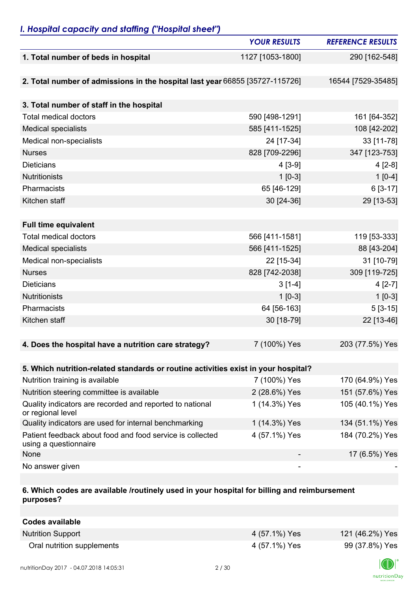### *I. Hospital capacity and staffing ("Hospital sheet")*

|                                                                                    | <b>YOUR RESULTS</b> | <b>REFERENCE RESULTS</b> |
|------------------------------------------------------------------------------------|---------------------|--------------------------|
| 1. Total number of beds in hospital                                                | 1127 [1053-1800]    | 290 [162-548]            |
|                                                                                    |                     |                          |
| 2. Total number of admissions in the hospital last year 66855 [35727-115726]       |                     | 16544 [7529-35485]       |
|                                                                                    |                     |                          |
| 3. Total number of staff in the hospital                                           |                     |                          |
| <b>Total medical doctors</b>                                                       | 590 [498-1291]      | 161 [64-352]             |
| <b>Medical specialists</b>                                                         | 585 [411-1525]      | 108 [42-202]             |
| Medical non-specialists                                                            | 24 [17-34]          | 33 [11-78]               |
| <b>Nurses</b>                                                                      | 828 [709-2296]      | 347 [123-753]            |
| <b>Dieticians</b>                                                                  | $4[3-9]$            | $4[2-8]$                 |
| <b>Nutritionists</b>                                                               | $1$ [0-3]           | $1[0-4]$                 |
| Pharmacists                                                                        | 65 [46-129]         | 6 [3-17]                 |
| Kitchen staff                                                                      | 30 [24-36]          | 29 [13-53]               |
|                                                                                    |                     |                          |
| <b>Full time equivalent</b>                                                        |                     |                          |
| <b>Total medical doctors</b>                                                       | 566 [411-1581]      | 119 [53-333]             |
| <b>Medical specialists</b>                                                         | 566 [411-1525]      | 88 [43-204]              |
| Medical non-specialists                                                            | 22 [15-34]          | 31 [10-79]               |
| <b>Nurses</b>                                                                      | 828 [742-2038]      | 309 [119-725]            |
| <b>Dieticians</b>                                                                  | $3[1-4]$            | $4[2-7]$                 |
| <b>Nutritionists</b>                                                               | $1$ [0-3]           | $1[0-3]$                 |
| Pharmacists                                                                        | 64 [56-163]         | $5[3-15]$                |
| Kitchen staff                                                                      | 30 [18-79]          | 22 [13-46]               |
|                                                                                    |                     |                          |
| 4. Does the hospital have a nutrition care strategy?                               | 7 (100%) Yes        | 203 (77.5%) Yes          |
|                                                                                    |                     |                          |
| 5. Which nutrition-related standards or routine activities exist in your hospital? |                     |                          |
| Nutrition training is available                                                    | 7 (100%) Yes        | 170 (64.9%) Yes          |
| Nutrition steering committee is available                                          | 2 (28.6%) Yes       | 151 (57.6%) Yes          |
| Quality indicators are recorded and reported to national<br>or regional level      | 1 (14.3%) Yes       | 105 (40.1%) Yes          |
| Quality indicators are used for internal benchmarking                              | 1 (14.3%) Yes       | 134 (51.1%) Yes          |
| Patient feedback about food and food service is collected<br>using a questionnaire | 4 (57.1%) Yes       | 184 (70.2%) Yes          |
| None                                                                               |                     | 17 (6.5%) Yes            |
| No answer given                                                                    |                     |                          |

#### **6. Which codes are available /routinely used in your hospital for billing and reimbursement purposes?**

| Codes available            |               |                 |
|----------------------------|---------------|-----------------|
| <b>Nutrition Support</b>   | 4 (57.1%) Yes | 121 (46.2%) Yes |
| Oral nutrition supplements | 4 (57.1%) Yes | 99 (37.8%) Yes  |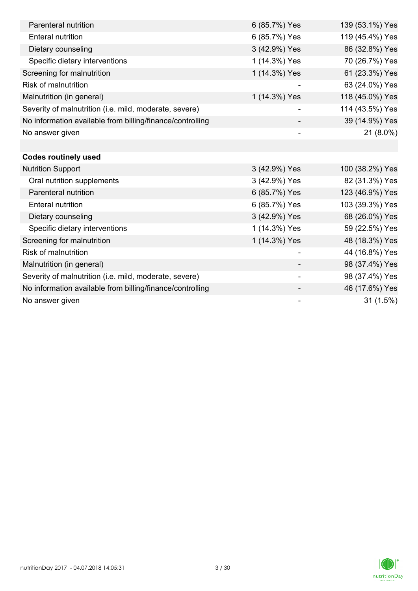| Parenteral nutrition                                      | 6 (85.7%) Yes            | 139 (53.1%) Yes |
|-----------------------------------------------------------|--------------------------|-----------------|
| <b>Enteral nutrition</b>                                  | 6 (85.7%) Yes            | 119 (45.4%) Yes |
| Dietary counseling                                        | 3 (42.9%) Yes            | 86 (32.8%) Yes  |
| Specific dietary interventions                            | 1 (14.3%) Yes            | 70 (26.7%) Yes  |
| Screening for malnutrition                                | 1 (14.3%) Yes            | 61 (23.3%) Yes  |
| <b>Risk of malnutrition</b>                               |                          | 63 (24.0%) Yes  |
| Malnutrition (in general)                                 | 1 (14.3%) Yes            | 118 (45.0%) Yes |
| Severity of malnutrition (i.e. mild, moderate, severe)    |                          | 114 (43.5%) Yes |
| No information available from billing/finance/controlling |                          | 39 (14.9%) Yes  |
| No answer given                                           |                          | 21 (8.0%)       |
|                                                           |                          |                 |
| <b>Codes routinely used</b>                               |                          |                 |
| <b>Nutrition Support</b>                                  | 3 (42.9%) Yes            | 100 (38.2%) Yes |
| Oral nutrition supplements                                | 3 (42.9%) Yes            | 82 (31.3%) Yes  |
| Parenteral nutrition                                      | 6 (85.7%) Yes            | 123 (46.9%) Yes |
| <b>Enteral nutrition</b>                                  | 6 (85.7%) Yes            | 103 (39.3%) Yes |
| Dietary counseling                                        | 3 (42.9%) Yes            | 68 (26.0%) Yes  |
| Specific dietary interventions                            | 1 (14.3%) Yes            | 59 (22.5%) Yes  |
| Screening for malnutrition                                | 1 (14.3%) Yes            | 48 (18.3%) Yes  |
| <b>Risk of malnutrition</b>                               |                          | 44 (16.8%) Yes  |
| Malnutrition (in general)                                 |                          | 98 (37.4%) Yes  |
| Severity of malnutrition (i.e. mild, moderate, severe)    | $\overline{\phantom{a}}$ | 98 (37.4%) Yes  |
| No information available from billing/finance/controlling |                          | 46 (17.6%) Yes  |
| No answer given                                           | -                        | 31(1.5%)        |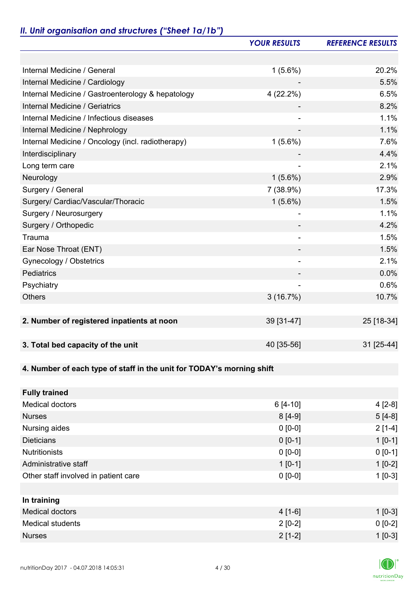### *II. Unit organisation and structures ("Sheet 1a/1b")*

|                                                                       | <b>YOUR RESULTS</b>      | <b>REFERENCE RESULTS</b> |
|-----------------------------------------------------------------------|--------------------------|--------------------------|
|                                                                       |                          |                          |
| Internal Medicine / General                                           | $1(5.6\%)$               | 20.2%                    |
| Internal Medicine / Cardiology                                        |                          | 5.5%                     |
| Internal Medicine / Gastroenterology & hepatology                     | 4 (22.2%)                | 6.5%                     |
| <b>Internal Medicine / Geriatrics</b>                                 |                          | 8.2%                     |
| Internal Medicine / Infectious diseases                               |                          | 1.1%                     |
| Internal Medicine / Nephrology                                        | $\overline{\phantom{0}}$ | 1.1%                     |
| Internal Medicine / Oncology (incl. radiotherapy)                     | $1(5.6\%)$               | 7.6%                     |
| Interdisciplinary                                                     |                          | 4.4%                     |
| Long term care                                                        |                          | 2.1%                     |
| Neurology                                                             | $1(5.6\%)$               | 2.9%                     |
| Surgery / General                                                     | 7 (38.9%)                | 17.3%                    |
| Surgery/ Cardiac/Vascular/Thoracic                                    | $1(5.6\%)$               | 1.5%                     |
| Surgery / Neurosurgery                                                | $\overline{a}$           | 1.1%                     |
| Surgery / Orthopedic                                                  |                          | 4.2%                     |
| Trauma                                                                | $\overline{\phantom{a}}$ | 1.5%                     |
| Ear Nose Throat (ENT)                                                 |                          | 1.5%                     |
| Gynecology / Obstetrics                                               | $\overline{\phantom{0}}$ | 2.1%                     |
| <b>Pediatrics</b>                                                     |                          | 0.0%                     |
| Psychiatry                                                            |                          | 0.6%                     |
| <b>Others</b>                                                         | 3(16.7%)                 | 10.7%                    |
|                                                                       |                          |                          |
| 2. Number of registered inpatients at noon                            | 39 [31-47]               | 25 [18-34]               |
|                                                                       |                          |                          |
| 3. Total bed capacity of the unit                                     | 40 [35-56]               | 31 [25-44]               |
|                                                                       |                          |                          |
| 4. Number of each type of staff in the unit for TODAY's morning shift |                          |                          |
|                                                                       |                          |                          |
| <b>Fully trained</b>                                                  |                          |                          |
| <b>Medical doctors</b>                                                | $6[4-10]$                | $4[2-8]$                 |
| <b>Nurses</b>                                                         | $8[4-9]$                 | $5[4-8]$                 |
| Nursing aides                                                         | $0 [0-0]$                | $2[1-4]$                 |
| <b>Dieticians</b>                                                     | $0 [0-1]$                | $1 [0-1]$                |
| <b>Nutritionists</b>                                                  | $0 [0-0]$                | $0 [0-1]$                |
| Administrative staff                                                  | $1 [0-1]$                | $1[0-2]$                 |
| Other staff involved in patient care                                  | $0 [0-0]$                | $1[0-3]$                 |
|                                                                       |                          |                          |
| In training                                                           |                          |                          |
| <b>Medical doctors</b>                                                | $4[1-6]$                 | $1 [0-3]$                |
| <b>Medical students</b>                                               | $2[0-2]$                 | $0 [0-2]$                |
| <b>Nurses</b>                                                         | $2[1-2]$                 | $1[0-3]$                 |

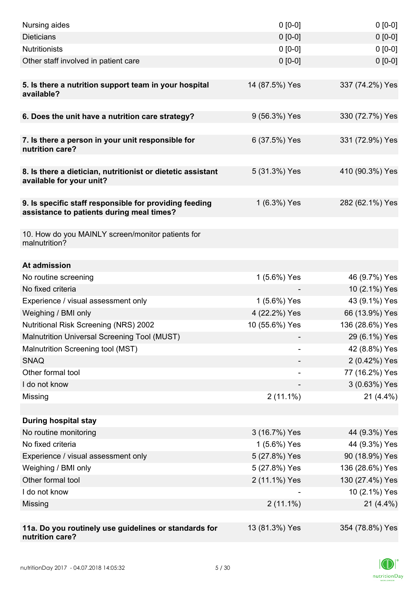| Nursing aides                                                                                       | $0 [0-0]$      | $0[0-0]$        |
|-----------------------------------------------------------------------------------------------------|----------------|-----------------|
| <b>Dieticians</b>                                                                                   | $0 [0-0]$      | $0 [0-0]$       |
| <b>Nutritionists</b>                                                                                | $0 [0-0]$      | $0 [0-0]$       |
| Other staff involved in patient care                                                                | $0 [0-0]$      | $0 [0-0]$       |
|                                                                                                     |                |                 |
| 5. Is there a nutrition support team in your hospital<br>available?                                 | 14 (87.5%) Yes | 337 (74.2%) Yes |
| 6. Does the unit have a nutrition care strategy?                                                    | 9 (56.3%) Yes  | 330 (72.7%) Yes |
|                                                                                                     |                |                 |
| 7. Is there a person in your unit responsible for<br>nutrition care?                                | 6 (37.5%) Yes  | 331 (72.9%) Yes |
| 8. Is there a dietician, nutritionist or dietetic assistant<br>available for your unit?             | 5 (31.3%) Yes  | 410 (90.3%) Yes |
| 9. Is specific staff responsible for providing feeding<br>assistance to patients during meal times? | 1 (6.3%) Yes   | 282 (62.1%) Yes |
| 10. How do you MAINLY screen/monitor patients for<br>malnutrition?                                  |                |                 |
| At admission                                                                                        |                |                 |
| No routine screening                                                                                | 1 (5.6%) Yes   | 46 (9.7%) Yes   |
| No fixed criteria                                                                                   |                | 10 (2.1%) Yes   |
| Experience / visual assessment only                                                                 | 1 (5.6%) Yes   | 43 (9.1%) Yes   |
| Weighing / BMI only                                                                                 | 4 (22.2%) Yes  | 66 (13.9%) Yes  |
| <b>Nutritional Risk Screening (NRS) 2002</b>                                                        | 10 (55.6%) Yes | 136 (28.6%) Yes |
| Malnutrition Universal Screening Tool (MUST)                                                        |                | 29 (6.1%) Yes   |
| Malnutrition Screening tool (MST)                                                                   |                | 42 (8.8%) Yes   |
| <b>SNAQ</b>                                                                                         |                | 2 (0.42%) Yes   |
| Other formal tool                                                                                   |                | 77 (16.2%) Yes  |
| I do not know                                                                                       |                | 3 (0.63%) Yes   |
| Missing                                                                                             | $2(11.1\%)$    | $21(4.4\%)$     |
|                                                                                                     |                |                 |
| <b>During hospital stay</b>                                                                         |                |                 |
| No routine monitoring                                                                               | 3 (16.7%) Yes  | 44 (9.3%) Yes   |
| No fixed criteria                                                                                   | 1 (5.6%) Yes   | 44 (9.3%) Yes   |
| Experience / visual assessment only                                                                 | 5 (27.8%) Yes  | 90 (18.9%) Yes  |
| Weighing / BMI only                                                                                 | 5 (27.8%) Yes  | 136 (28.6%) Yes |
| Other formal tool                                                                                   | 2 (11.1%) Yes  | 130 (27.4%) Yes |
| I do not know                                                                                       |                | 10 (2.1%) Yes   |
| Missing                                                                                             | $2(11.1\%)$    | $21(4.4\%)$     |
|                                                                                                     |                |                 |
| 11a. Do you routinely use guidelines or standards for<br>nutrition care?                            | 13 (81.3%) Yes | 354 (78.8%) Yes |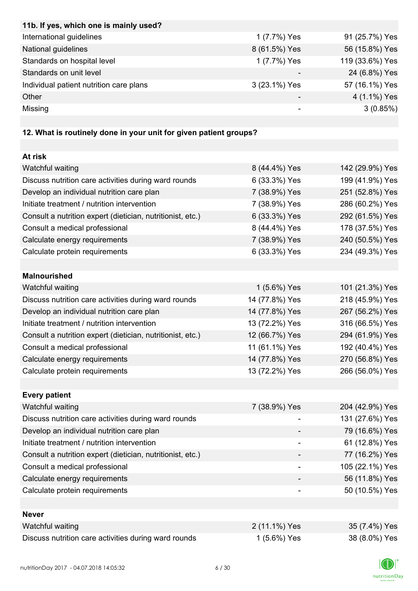| 11b. If yes, which one is mainly used?  |               |                 |
|-----------------------------------------|---------------|-----------------|
| International guidelines                | 1 (7.7%) Yes  | 91 (25.7%) Yes  |
| National guidelines                     | 8 (61.5%) Yes | 56 (15.8%) Yes  |
| Standards on hospital level             | 1 (7.7%) Yes  | 119 (33.6%) Yes |
| Standards on unit level                 |               | 24 (6.8%) Yes   |
| Individual patient nutrition care plans | 3 (23.1%) Yes | 57 (16.1%) Yes  |
| Other                                   |               | 4 (1.1%) Yes    |
| Missing                                 |               | 3(0.85%)        |

# **12. What is routinely done in your unit for given patient groups?**

| At risk                                                    |                |                 |
|------------------------------------------------------------|----------------|-----------------|
| Watchful waiting                                           | 8 (44.4%) Yes  | 142 (29.9%) Yes |
| Discuss nutrition care activities during ward rounds       | 6 (33.3%) Yes  | 199 (41.9%) Yes |
| Develop an individual nutrition care plan                  | 7 (38.9%) Yes  | 251 (52.8%) Yes |
| Initiate treatment / nutrition intervention                | 7 (38.9%) Yes  | 286 (60.2%) Yes |
| Consult a nutrition expert (dietician, nutritionist, etc.) | 6 (33.3%) Yes  | 292 (61.5%) Yes |
| Consult a medical professional                             | 8 (44.4%) Yes  | 178 (37.5%) Yes |
| Calculate energy requirements                              | 7 (38.9%) Yes  | 240 (50.5%) Yes |
| Calculate protein requirements                             | 6 (33.3%) Yes  | 234 (49.3%) Yes |
|                                                            |                |                 |
| <b>Malnourished</b>                                        |                |                 |
| Watchful waiting                                           | 1 (5.6%) Yes   | 101 (21.3%) Yes |
| Discuss nutrition care activities during ward rounds       | 14 (77.8%) Yes | 218 (45.9%) Yes |
| Develop an individual nutrition care plan                  | 14 (77.8%) Yes | 267 (56.2%) Yes |
| Initiate treatment / nutrition intervention                | 13 (72.2%) Yes | 316 (66.5%) Yes |
| Consult a nutrition expert (dietician, nutritionist, etc.) | 12 (66.7%) Yes | 294 (61.9%) Yes |
| Consult a medical professional                             | 11 (61.1%) Yes | 192 (40.4%) Yes |
| Calculate energy requirements                              | 14 (77.8%) Yes | 270 (56.8%) Yes |
| Calculate protein requirements                             | 13 (72.2%) Yes | 266 (56.0%) Yes |
|                                                            |                |                 |
| <b>Every patient</b>                                       |                |                 |
| Watchful waiting                                           | 7 (38.9%) Yes  | 204 (42.9%) Yes |
| Discuss nutrition care activities during ward rounds       |                | 131 (27.6%) Yes |
| Develop an individual nutrition care plan                  |                | 79 (16.6%) Yes  |
| Initiate treatment / nutrition intervention                |                | 61 (12.8%) Yes  |
| Consult a nutrition expert (dietician, nutritionist, etc.) |                | 77 (16.2%) Yes  |
| Consult a medical professional                             |                | 105 (22.1%) Yes |
| Calculate energy requirements                              |                | 56 (11.8%) Yes  |
| Calculate protein requirements                             |                | 50 (10.5%) Yes  |
|                                                            |                |                 |
| <b>Never</b>                                               |                |                 |
| Watchful waiting                                           | 2 (11.1%) Yes  | 35 (7.4%) Yes   |
| Discuss nutrition care activities during ward rounds       | 1 (5.6%) Yes   | 38 (8.0%) Yes   |

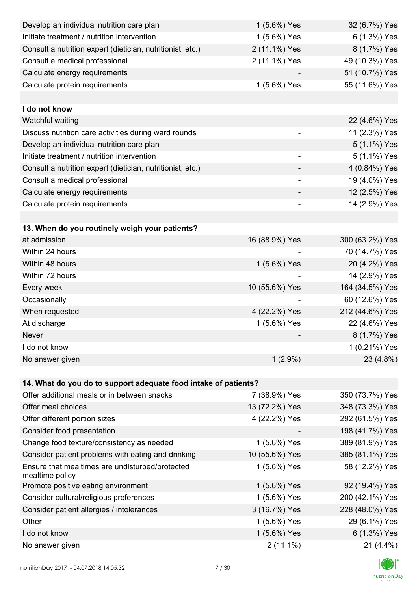| Develop an individual nutrition care plan                          | 1 (5.6%) Yes                 | 32 (6.7%) Yes   |
|--------------------------------------------------------------------|------------------------------|-----------------|
| Initiate treatment / nutrition intervention                        | 1 (5.6%) Yes                 | 6 (1.3%) Yes    |
| Consult a nutrition expert (dietician, nutritionist, etc.)         | 2 (11.1%) Yes                | 8 (1.7%) Yes    |
| Consult a medical professional                                     | 2 (11.1%) Yes                | 49 (10.3%) Yes  |
| Calculate energy requirements                                      |                              | 51 (10.7%) Yes  |
| Calculate protein requirements                                     | 1 (5.6%) Yes                 | 55 (11.6%) Yes  |
|                                                                    |                              |                 |
| I do not know                                                      |                              |                 |
| Watchful waiting                                                   |                              | 22 (4.6%) Yes   |
| Discuss nutrition care activities during ward rounds               | $\qquad \qquad \blacksquare$ | 11 (2.3%) Yes   |
| Develop an individual nutrition care plan                          |                              | 5 (1.1%) Yes    |
| Initiate treatment / nutrition intervention                        |                              | 5 (1.1%) Yes    |
| Consult a nutrition expert (dietician, nutritionist, etc.)         |                              | 4 (0.84%) Yes   |
| Consult a medical professional                                     |                              | 19 (4.0%) Yes   |
| Calculate energy requirements                                      |                              | 12 (2.5%) Yes   |
| Calculate protein requirements                                     | $\overline{\phantom{0}}$     | 14 (2.9%) Yes   |
|                                                                    |                              |                 |
| 13. When do you routinely weigh your patients?                     |                              |                 |
| at admission                                                       | 16 (88.9%) Yes               | 300 (63.2%) Yes |
| Within 24 hours                                                    |                              | 70 (14.7%) Yes  |
| Within 48 hours                                                    | 1 (5.6%) Yes                 | 20 (4.2%) Yes   |
| Within 72 hours                                                    |                              | 14 (2.9%) Yes   |
| Every week                                                         | 10 (55.6%) Yes               | 164 (34.5%) Yes |
| Occasionally                                                       |                              | 60 (12.6%) Yes  |
| When requested                                                     | 4 (22.2%) Yes                | 212 (44.6%) Yes |
| At discharge                                                       | 1 (5.6%) Yes                 | 22 (4.6%) Yes   |
| Never                                                              |                              | 8 (1.7%) Yes    |
| I do not know                                                      |                              | 1 (0.21%) Yes   |
| No answer given                                                    | $1(2.9\%)$                   | 23 (4.8%)       |
|                                                                    |                              |                 |
| 14. What do you do to support adequate food intake of patients?    |                              |                 |
| Offer additional meals or in between snacks                        | 7 (38.9%) Yes                | 350 (73.7%) Yes |
| Offer meal choices                                                 | 13 (72.2%) Yes               | 348 (73.3%) Yes |
| Offer different portion sizes                                      | 4 (22.2%) Yes                | 292 (61.5%) Yes |
| Consider food presentation                                         |                              | 198 (41.7%) Yes |
| Change food texture/consistency as needed                          | 1 (5.6%) Yes                 | 389 (81.9%) Yes |
| Consider patient problems with eating and drinking                 | 10 (55.6%) Yes               | 385 (81.1%) Yes |
| Ensure that mealtimes are undisturbed/protected<br>mealtime policy | 1 (5.6%) Yes                 | 58 (12.2%) Yes  |
| Promote positive eating environment                                | 1 (5.6%) Yes                 | 92 (19.4%) Yes  |
| Consider cultural/religious preferences                            | 1 (5.6%) Yes                 | 200 (42.1%) Yes |
| Consider patient allergies / intolerances                          | 3 (16.7%) Yes                | 228 (48.0%) Yes |
| Other                                                              | 1 (5.6%) Yes                 | 29 (6.1%) Yes   |
| I do not know                                                      | 1 (5.6%) Yes                 | 6 (1.3%) Yes    |
| No answer given                                                    | $2(11.1\%)$                  | 21 (4.4%)       |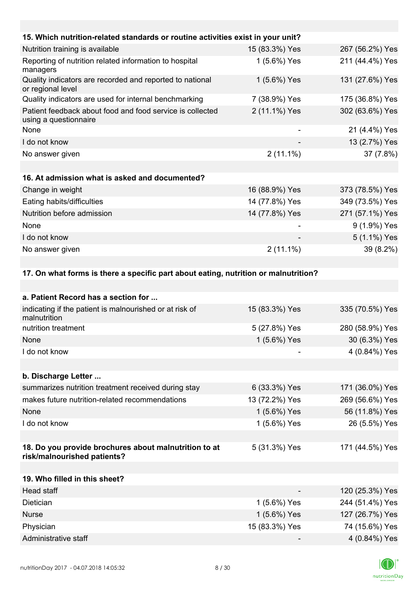| 15. Which nutrition-related standards or routine activities exist in your unit?      |                |                 |
|--------------------------------------------------------------------------------------|----------------|-----------------|
| Nutrition training is available                                                      | 15 (83.3%) Yes | 267 (56.2%) Yes |
| Reporting of nutrition related information to hospital<br>managers                   | 1 (5.6%) Yes   | 211 (44.4%) Yes |
| Quality indicators are recorded and reported to national<br>or regional level        | 1 (5.6%) Yes   | 131 (27.6%) Yes |
| Quality indicators are used for internal benchmarking                                | 7 (38.9%) Yes  | 175 (36.8%) Yes |
| Patient feedback about food and food service is collected<br>using a questionnaire   | 2 (11.1%) Yes  | 302 (63.6%) Yes |
| None                                                                                 |                | 21 (4.4%) Yes   |
| I do not know                                                                        |                | 13 (2.7%) Yes   |
| No answer given                                                                      | $2(11.1\%)$    | 37 (7.8%)       |
|                                                                                      |                |                 |
| 16. At admission what is asked and documented?                                       |                |                 |
| Change in weight                                                                     | 16 (88.9%) Yes | 373 (78.5%) Yes |
| Eating habits/difficulties                                                           | 14 (77.8%) Yes | 349 (73.5%) Yes |
| Nutrition before admission                                                           | 14 (77.8%) Yes | 271 (57.1%) Yes |
| None                                                                                 |                | 9 (1.9%) Yes    |
| I do not know                                                                        |                | 5 (1.1%) Yes    |
| No answer given                                                                      | $2(11.1\%)$    | 39 (8.2%)       |
| 17. On what forms is there a specific part about eating, nutrition or malnutrition?  |                |                 |
|                                                                                      |                |                 |
| a. Patient Record has a section for                                                  |                |                 |
| indicating if the patient is malnourished or at risk of<br>malnutrition              | 15 (83.3%) Yes | 335 (70.5%) Yes |
| nutrition treatment                                                                  | 5 (27.8%) Yes  | 280 (58.9%) Yes |
| None                                                                                 | 1 (5.6%) Yes   | 30 (6.3%) Yes   |
| I do not know                                                                        |                | 4 (0.84%) Yes   |
|                                                                                      |                |                 |
| b. Discharge Letter                                                                  |                |                 |
| summarizes nutrition treatment received during stay                                  | 6 (33.3%) Yes  | 171 (36.0%) Yes |
| makes future nutrition-related recommendations                                       | 13 (72.2%) Yes | 269 (56.6%) Yes |
| None                                                                                 | 1 (5.6%) Yes   | 56 (11.8%) Yes  |
| I do not know                                                                        | 1 (5.6%) Yes   | 26 (5.5%) Yes   |
|                                                                                      |                |                 |
| 18. Do you provide brochures about malnutrition to at<br>risk/malnourished patients? | 5 (31.3%) Yes  | 171 (44.5%) Yes |
|                                                                                      |                |                 |
| 19. Who filled in this sheet?                                                        |                |                 |
| Head staff                                                                           |                | 120 (25.3%) Yes |
| Dietician                                                                            | 1 (5.6%) Yes   | 244 (51.4%) Yes |
| <b>Nurse</b>                                                                         | 1 (5.6%) Yes   | 127 (26.7%) Yes |
| Physician                                                                            | 15 (83.3%) Yes | 74 (15.6%) Yes  |
| Administrative staff                                                                 |                | 4 (0.84%) Yes   |

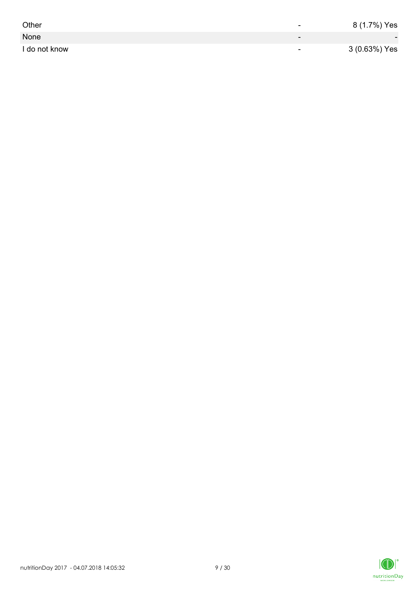| Other         | -                        | 8 (1.7%) Yes             |
|---------------|--------------------------|--------------------------|
| None          | $\overline{\phantom{0}}$ | $\overline{\phantom{0}}$ |
| I do not know | $\overline{\phantom{0}}$ | 3 (0.63%) Yes            |

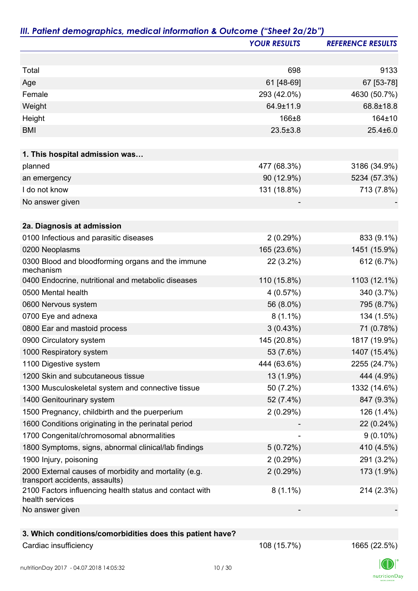|                                                                                         | <b>YOUR RESULTS</b>      | <b>REFERENCE RESULTS</b> |
|-----------------------------------------------------------------------------------------|--------------------------|--------------------------|
|                                                                                         |                          |                          |
| Total                                                                                   | 698                      | 9133                     |
| Age                                                                                     | 61 [48-69]               | 67 [53-78]               |
| Female                                                                                  | 293 (42.0%)              | 4630 (50.7%)             |
| Weight                                                                                  | 64.9±11.9                | 68.8±18.8                |
| Height                                                                                  | 166±8                    | 164±10                   |
| <b>BMI</b>                                                                              | $23.5 \pm 3.8$           | $25.4 \pm 6.0$           |
| 1. This hospital admission was                                                          |                          |                          |
| planned                                                                                 | 477 (68.3%)              | 3186 (34.9%)             |
| an emergency                                                                            | 90 (12.9%)               | 5234 (57.3%)             |
| I do not know                                                                           | 131 (18.8%)              | 713 (7.8%)               |
| No answer given                                                                         |                          |                          |
| 2a. Diagnosis at admission                                                              |                          |                          |
| 0100 Infectious and parasitic diseases                                                  | 2(0.29%)                 | 833 (9.1%)               |
| 0200 Neoplasms                                                                          | 165 (23.6%)              | 1451 (15.9%)             |
| 0300 Blood and bloodforming organs and the immune<br>mechanism                          | $22(3.2\%)$              | 612 (6.7%)               |
| 0400 Endocrine, nutritional and metabolic diseases                                      | 110 (15.8%)              | 1103 (12.1%)             |
| 0500 Mental health                                                                      | 4(0.57%)                 | 340 (3.7%)               |
| 0600 Nervous system                                                                     | 56 (8.0%)                | 795 (8.7%)               |
| 0700 Eye and adnexa                                                                     | $8(1.1\%)$               | 134 (1.5%)               |
| 0800 Ear and mastoid process                                                            | 3(0.43%)                 | 71 (0.78%)               |
| 0900 Circulatory system                                                                 | 145 (20.8%)              | 1817 (19.9%)             |
| 1000 Respiratory system                                                                 | 53 (7.6%)                | 1407 (15.4%)             |
| 1100 Digestive system                                                                   | 444 (63.6%)              | 2255 (24.7%)             |
| 1200 Skin and subcutaneous tissue                                                       | 13 (1.9%)                | 444 (4.9%)               |
| 1300 Musculoskeletal system and connective tissue                                       | 50 (7.2%)                | 1332 (14.6%)             |
| 1400 Genitourinary system                                                               | 52 (7.4%)                | 847 (9.3%)               |
| 1500 Pregnancy, childbirth and the puerperium                                           | 2(0.29%)                 | 126 (1.4%)               |
| 1600 Conditions originating in the perinatal period                                     |                          | 22 (0.24%)               |
| 1700 Congenital/chromosomal abnormalities                                               | $\overline{\phantom{a}}$ | $9(0.10\%)$              |
| 1800 Symptoms, signs, abnormal clinical/lab findings                                    | 5(0.72%)                 | 410 (4.5%)               |
| 1900 Injury, poisoning                                                                  | 2(0.29%)                 | 291 (3.2%)               |
| 2000 External causes of morbidity and mortality (e.g.<br>transport accidents, assaults) | 2(0.29%)                 | 173 (1.9%)               |
| 2100 Factors influencing health status and contact with<br>health services              | $8(1.1\%)$               | 214 (2.3%)               |
| No answer given                                                                         |                          |                          |
|                                                                                         |                          |                          |
| 3. Which conditions/comorbidities does this patient have?                               |                          |                          |
| Cardiac insufficiency                                                                   | 108 (15.7%)              | 1665 (22.5%)             |

 $\Box$ nutritionDay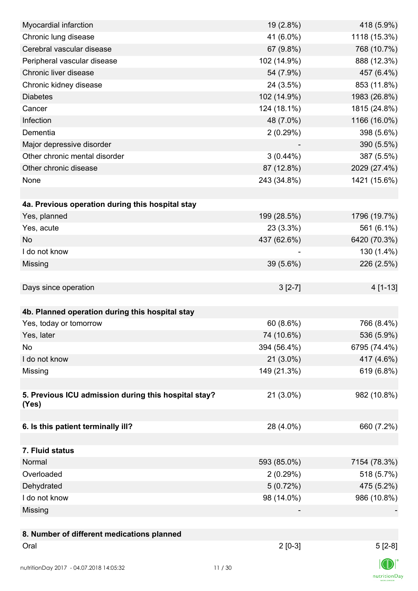| Myocardial infarction                                | 19 (2.8%)   | 418 (5.9%)   |
|------------------------------------------------------|-------------|--------------|
| Chronic lung disease                                 | 41 (6.0%)   | 1118 (15.3%) |
| Cerebral vascular disease                            | 67 (9.8%)   | 768 (10.7%)  |
| Peripheral vascular disease                          | 102 (14.9%) | 888 (12.3%)  |
| Chronic liver disease                                | 54 (7.9%)   | 457 (6.4%)   |
| Chronic kidney disease                               | 24 (3.5%)   | 853 (11.8%)  |
| <b>Diabetes</b>                                      | 102 (14.9%) | 1983 (26.8%) |
| Cancer                                               | 124 (18.1%) | 1815 (24.8%) |
| Infection                                            | 48 (7.0%)   | 1166 (16.0%) |
| Dementia                                             | 2(0.29%)    | 398 (5.6%)   |
| Major depressive disorder                            |             | 390 (5.5%)   |
| Other chronic mental disorder                        | $3(0.44\%)$ | 387 (5.5%)   |
| Other chronic disease                                | 87 (12.8%)  | 2029 (27.4%) |
| None                                                 | 243 (34.8%) | 1421 (15.6%) |
|                                                      |             |              |
| 4a. Previous operation during this hospital stay     |             |              |
| Yes, planned                                         | 199 (28.5%) | 1796 (19.7%) |
| Yes, acute                                           | 23 (3.3%)   | 561 (6.1%)   |
| <b>No</b>                                            | 437 (62.6%) | 6420 (70.3%) |
| I do not know                                        |             | 130 (1.4%)   |
| Missing                                              | 39 (5.6%)   | 226 (2.5%)   |
|                                                      |             |              |
| Days since operation                                 | $3[2-7]$    | 4 [1-13]     |
|                                                      |             |              |
| 4b. Planned operation during this hospital stay      |             |              |
| Yes, today or tomorrow                               | 60 (8.6%)   | 766 (8.4%)   |
| Yes, later                                           | 74 (10.6%)  | 536 (5.9%)   |
| No                                                   | 394 (56.4%) | 6795 (74.4%) |
| I do not know                                        | 21 (3.0%)   | 417 (4.6%)   |
| Missing                                              | 149 (21.3%) | 619 (6.8%)   |
|                                                      |             |              |
| 5. Previous ICU admission during this hospital stay? | 21 (3.0%)   | 982 (10.8%)  |
| (Yes)                                                |             |              |
|                                                      |             |              |
| 6. Is this patient terminally ill?                   | 28 (4.0%)   | 660 (7.2%)   |
|                                                      |             |              |
| 7. Fluid status                                      |             |              |
| Normal                                               | 593 (85.0%) | 7154 (78.3%) |
| Overloaded                                           | 2(0.29%)    | 518 (5.7%)   |
| Dehydrated                                           | 5(0.72%)    | 475 (5.2%)   |
| I do not know                                        | 98 (14.0%)  | 986 (10.8%)  |
| Missing                                              |             |              |
|                                                      |             |              |
| 8. Number of different medications planned           |             |              |
| Oral                                                 | $2[0-3]$    | $5[2-8]$     |
|                                                      |             | $\ln$        |
|                                                      |             |              |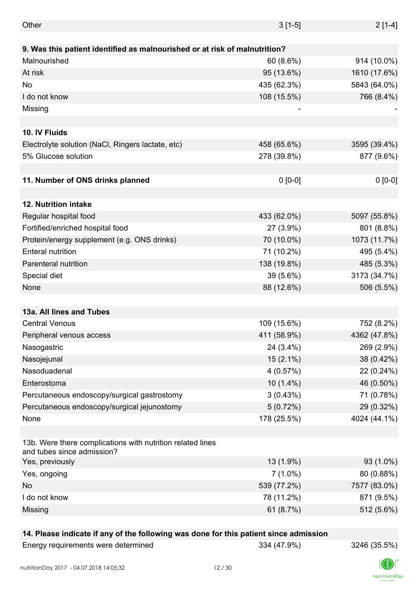| Other                                                                                    | $3[1-5]$    | $2[1-4]$     |
|------------------------------------------------------------------------------------------|-------------|--------------|
|                                                                                          |             |              |
| 9. Was this patient identified as malnourished or at risk of malnutrition?               |             |              |
| Malnourished                                                                             | 60(8.6%)    | 914 (10.0%)  |
| At risk                                                                                  | 95 (13.6%)  | 1610 (17.6%) |
| No                                                                                       | 435 (62.3%) | 5843 (64.0%) |
| I do not know                                                                            | 108 (15.5%) | 766 (8.4%)   |
| Missing                                                                                  |             |              |
|                                                                                          |             |              |
| 10. IV Fluids                                                                            |             |              |
| Electrolyte solution (NaCl, Ringers lactate, etc)                                        | 458 (65.6%) | 3595 (39.4%) |
| 5% Glucose solution                                                                      | 278 (39.8%) | 877 (9.6%)   |
|                                                                                          |             |              |
| 11. Number of ONS drinks planned                                                         | $0 [0-0]$   | $0[0-0]$     |
|                                                                                          |             |              |
| 12. Nutrition intake                                                                     |             |              |
| Regular hospital food                                                                    | 433 (62.0%) | 5097 (55.8%) |
| Fortified/enriched hospital food                                                         | 27 (3.9%)   | 801 (8.8%)   |
| Protein/energy supplement (e.g. ONS drinks)                                              | 70 (10.0%)  | 1073 (11.7%) |
| <b>Enteral nutrition</b>                                                                 | 71 (10.2%)  | 495 (5.4%)   |
| <b>Parenteral nutrition</b>                                                              | 138 (19.8%) | 485 (5.3%)   |
| Special diet                                                                             | 39 (5.6%)   | 3173 (34.7%) |
| None                                                                                     | 88 (12.6%)  | 506 (5.5%)   |
|                                                                                          |             |              |
| 13a. All lines and Tubes                                                                 |             |              |
| <b>Central Venous</b>                                                                    | 109 (15.6%) | 752 (8.2%)   |
| Peripheral venous access                                                                 | 411 (58.9%) | 4362 (47.8%) |
| Nasogastric                                                                              | 24 (3.4%)   | 269 (2.9%)   |
| Nasojejunal                                                                              | $15(2.1\%)$ | 38 (0.42%)   |
| Nasoduadenal                                                                             | 4(0.57%)    | 22 (0.24%)   |
| Enterostoma                                                                              | $10(1.4\%)$ | 46 (0.50%)   |
| Percutaneous endoscopy/surgical gastrostomy                                              | 3(0.43%)    | 71 (0.78%)   |
| Percutaneous endoscopy/surgical jejunostomy                                              | 5(0.72%)    | 29 (0.32%)   |
| None                                                                                     | 178 (25.5%) | 4024 (44.1%) |
|                                                                                          |             |              |
| 13b. Were there complications with nutrition related lines<br>and tubes since admission? |             |              |
| Yes, previously                                                                          | 13 (1.9%)   | 93 (1.0%)    |
| Yes, ongoing                                                                             | $7(1.0\%)$  | 80 (0.88%)   |
| No                                                                                       | 539 (77.2%) | 7577 (83.0%) |
| I do not know                                                                            | 78 (11.2%)  | 871 (9.5%)   |
| Missing                                                                                  | 61 (8.7%)   | 512 (5.6%)   |
|                                                                                          |             |              |

# **14. Please indicate if any of the following was done for this patient since admission**

| Energy requirements were determined | 334 (47.9%) |
|-------------------------------------|-------------|
|-------------------------------------|-------------|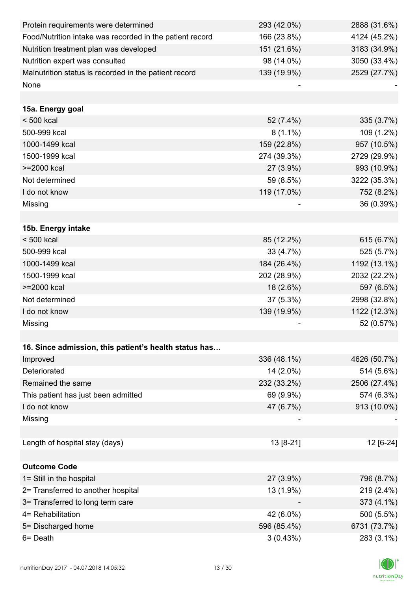| Protein requirements were determined                     | 293 (42.0%) | 2888 (31.6%) |
|----------------------------------------------------------|-------------|--------------|
| Food/Nutrition intake was recorded in the patient record | 166 (23.8%) | 4124 (45.2%) |
| Nutrition treatment plan was developed                   | 151 (21.6%) | 3183 (34.9%) |
| Nutrition expert was consulted                           | 98 (14.0%)  | 3050 (33.4%) |
| Malnutrition status is recorded in the patient record    | 139 (19.9%) | 2529 (27.7%) |
| None                                                     |             |              |
|                                                          |             |              |
| 15a. Energy goal                                         |             |              |
| $< 500$ kcal                                             | 52 (7.4%)   | 335 (3.7%)   |
| 500-999 kcal                                             | $8(1.1\%)$  | 109 (1.2%)   |
| 1000-1499 kcal                                           | 159 (22.8%) | 957 (10.5%)  |
| 1500-1999 kcal                                           | 274 (39.3%) | 2729 (29.9%) |
| >=2000 kcal                                              | 27 (3.9%)   | 993 (10.9%)  |
| Not determined                                           | 59 (8.5%)   | 3222 (35.3%) |
| I do not know                                            | 119 (17.0%) | 752 (8.2%)   |
| Missing                                                  |             | 36 (0.39%)   |
|                                                          |             |              |
| 15b. Energy intake                                       |             |              |
| $< 500$ kcal                                             | 85 (12.2%)  | 615 (6.7%)   |
| 500-999 kcal                                             | 33 (4.7%)   | 525 (5.7%)   |
| 1000-1499 kcal                                           | 184 (26.4%) | 1192 (13.1%) |
| 1500-1999 kcal                                           | 202 (28.9%) | 2032 (22.2%) |
| >=2000 kcal                                              | 18 (2.6%)   | 597 (6.5%)   |
| Not determined                                           | 37 (5.3%)   | 2998 (32.8%) |
| I do not know                                            | 139 (19.9%) | 1122 (12.3%) |
| Missing                                                  |             | 52 (0.57%)   |
|                                                          |             |              |
| 16. Since admission, this patient's health status has    |             |              |
| Improved                                                 | 336 (48.1%) | 4626 (50.7%) |
| Deteriorated                                             | 14 (2.0%)   | 514 (5.6%)   |
| Remained the same                                        | 232 (33.2%) | 2506 (27.4%) |
| This patient has just been admitted                      | 69 (9.9%)   | 574 (6.3%)   |
| I do not know                                            | 47 (6.7%)   | 913 (10.0%)  |
| Missing                                                  |             |              |
|                                                          |             |              |
| Length of hospital stay (days)                           | 13 [8-21]   | 12 [6-24]    |
|                                                          |             |              |
| <b>Outcome Code</b>                                      |             |              |
| 1= Still in the hospital                                 | 27 (3.9%)   | 796 (8.7%)   |
| 2= Transferred to another hospital                       | 13 (1.9%)   | 219 (2.4%)   |
| 3= Transferred to long term care                         |             | 373 (4.1%)   |
| 4= Rehabilitation                                        | 42 (6.0%)   | 500 (5.5%)   |
| 5= Discharged home                                       | 596 (85.4%) | 6731 (73.7%) |
| 6 = Death                                                | 3(0.43%)    | 283 (3.1%)   |

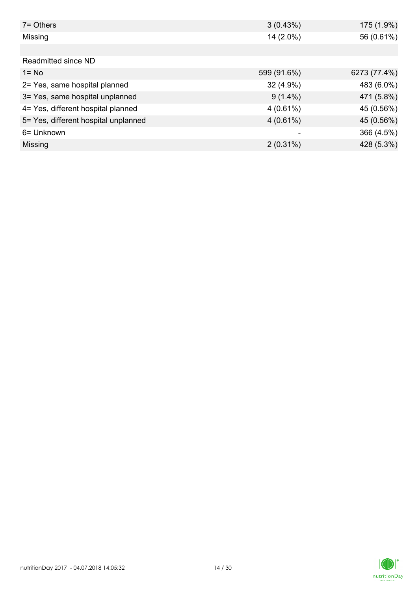| $7 =$ Others                         | 3(0.43%)    | 175 (1.9%)   |
|--------------------------------------|-------------|--------------|
| Missing                              | 14 (2.0%)   | 56 (0.61%)   |
|                                      |             |              |
| Readmitted since ND                  |             |              |
| $1 = No$                             | 599 (91.6%) | 6273 (77.4%) |
| 2= Yes, same hospital planned        | $32(4.9\%)$ | 483 (6.0%)   |
| 3= Yes, same hospital unplanned      | $9(1.4\%)$  | 471 (5.8%)   |
| 4= Yes, different hospital planned   | $4(0.61\%)$ | 45 (0.56%)   |
| 5= Yes, different hospital unplanned | $4(0.61\%)$ | 45 (0.56%)   |
| 6= Unknown                           |             | 366 (4.5%)   |
| Missing                              | $2(0.31\%)$ | 428 (5.3%)   |

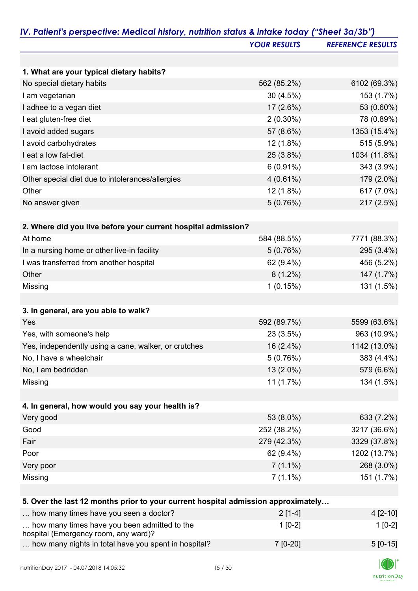|                                                                                      | <b>YOUR RESULTS</b> | <b>REFERENCE RESULTS</b> |
|--------------------------------------------------------------------------------------|---------------------|--------------------------|
|                                                                                      |                     |                          |
| 1. What are your typical dietary habits?                                             |                     |                          |
| No special dietary habits                                                            | 562 (85.2%)         | 6102 (69.3%)             |
| I am vegetarian                                                                      | 30(4.5%)            | 153 (1.7%)               |
| I adhee to a vegan diet                                                              | $17(2.6\%)$         | 53 (0.60%)               |
| I eat gluten-free diet                                                               | $2(0.30\%)$         | 78 (0.89%)               |
| I avoid added sugars                                                                 | 57 (8.6%)           | 1353 (15.4%)             |
| I avoid carbohydrates                                                                | 12 (1.8%)           | 515 (5.9%)               |
| I eat a low fat-diet                                                                 | 25 (3.8%)           | 1034 (11.8%)             |
| I am lactose intolerant                                                              | $6(0.91\%)$         | 343 (3.9%)               |
| Other special diet due to intolerances/allergies                                     | $4(0.61\%)$         | 179 (2.0%)               |
| Other                                                                                | 12 (1.8%)           | 617 (7.0%)               |
| No answer given                                                                      | 5(0.76%)            | 217 (2.5%)               |
|                                                                                      |                     |                          |
| 2. Where did you live before your current hospital admission?                        |                     |                          |
| At home                                                                              | 584 (88.5%)         | 7771 (88.3%)             |
| In a nursing home or other live-in facility                                          | 5(0.76%)            | 295 (3.4%)               |
| I was transferred from another hospital                                              | 62 (9.4%)           | 456 (5.2%)               |
| Other                                                                                | $8(1.2\%)$          | 147 (1.7%)               |
| Missing                                                                              | 1(0.15%)            | 131 (1.5%)               |
|                                                                                      |                     |                          |
| 3. In general, are you able to walk?                                                 |                     |                          |
| Yes                                                                                  | 592 (89.7%)         | 5599 (63.6%)             |
| Yes, with someone's help                                                             | 23 (3.5%)           | 963 (10.9%)              |
| Yes, independently using a cane, walker, or crutches                                 | $16(2.4\%)$         | 1142 (13.0%)             |
| No, I have a wheelchair                                                              | 5(0.76%)            | 383 (4.4%)               |
| No, I am bedridden                                                                   | 13 (2.0%)           | 579 (6.6%)               |
| Missing                                                                              | 11(1.7%)            | 134 (1.5%)               |
|                                                                                      |                     |                          |
| 4. In general, how would you say your health is?                                     |                     |                          |
| Very good                                                                            | 53 (8.0%)           | 633 (7.2%)               |
| Good                                                                                 | 252 (38.2%)         | 3217 (36.6%)             |
| Fair                                                                                 | 279 (42.3%)         | 3329 (37.8%)             |
| Poor                                                                                 | 62 (9.4%)           | 1202 (13.7%)             |
| Very poor                                                                            | $7(1.1\%)$          | 268 (3.0%)               |
| Missing                                                                              | $7(1.1\%)$          | 151 (1.7%)               |
|                                                                                      |                     |                          |
| 5. Over the last 12 months prior to your current hospital admission approximately    |                     |                          |
| how many times have you seen a doctor?                                               | $2[1-4]$            | $4[2-10]$                |
| how many times have you been admitted to the<br>hospital (Emergency room, any ward)? | $1[0-2]$            | $1[0-2]$                 |
| how many nights in total have you spent in hospital?                                 | 7 [0-20]            | $5[0-15]$                |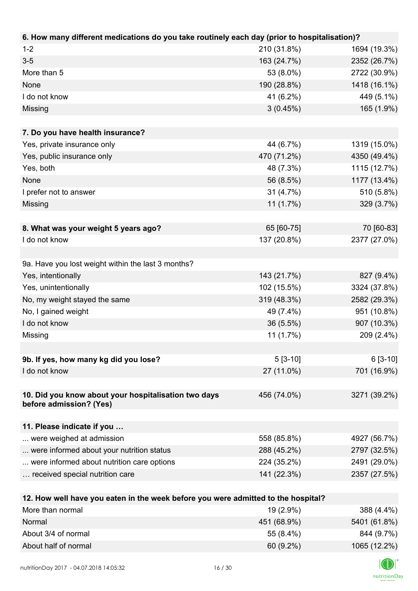| 6. How many different medications do you take routinely each day (prior to hospitalisation)? |              |
|----------------------------------------------------------------------------------------------|--------------|
| $1 - 2$<br>210 (31.8%)                                                                       | 1694 (19.3%) |
| $3 - 5$<br>163 (24.7%)                                                                       | 2352 (26.7%) |
| More than 5<br>53 (8.0%)                                                                     | 2722 (30.9%) |
| None<br>190 (28.8%)                                                                          | 1418 (16.1%) |
| I do not know<br>41 (6.2%)                                                                   | 449 (5.1%)   |
| 3(0.45%)<br>Missing                                                                          | 165 (1.9%)   |
|                                                                                              |              |
| 7. Do you have health insurance?                                                             |              |
| 44 (6.7%)<br>Yes, private insurance only                                                     | 1319 (15.0%) |
| Yes, public insurance only<br>470 (71.2%)                                                    | 4350 (49.4%) |
| Yes, both<br>48 (7.3%)                                                                       | 1115 (12.7%) |
| 56 (8.5%)<br>None                                                                            | 1177 (13.4%) |
| 31 (4.7%)<br>I prefer not to answer                                                          | 510 (5.8%)   |
| 11(1.7%)<br>Missing                                                                          | 329 (3.7%)   |
|                                                                                              |              |
| 65 [60-75]<br>8. What was your weight 5 years ago?                                           | 70 [60-83]   |
| 137 (20.8%)<br>I do not know                                                                 | 2377 (27.0%) |
|                                                                                              |              |
| 9a. Have you lost weight within the last 3 months?                                           |              |
| Yes, intentionally<br>143 (21.7%)                                                            | 827 (9.4%)   |
| 102 (15.5%)<br>Yes, unintentionally                                                          | 3324 (37.8%) |
| No, my weight stayed the same<br>319 (48.3%)                                                 | 2582 (29.3%) |
| No, I gained weight<br>49 (7.4%)                                                             | 951 (10.8%)  |
| I do not know<br>36 (5.5%)                                                                   | 907 (10.3%)  |
| Missing<br>11(1.7%)                                                                          | 209 (2.4%)   |
|                                                                                              |              |
| 9b. If yes, how many kg did you lose?<br>$5[3-10]$                                           | $6[3-10]$    |
| 27 (11.0%)<br>I do not know                                                                  | 701 (16.9%)  |
|                                                                                              |              |
| 10. Did you know about your hospitalisation two days<br>456 (74.0%)                          | 3271 (39.2%) |
| before admission? (Yes)                                                                      |              |
| 11. Please indicate if you                                                                   |              |
| 558 (85.8%)<br>were weighed at admission                                                     | 4927 (56.7%) |
| 288 (45.2%)<br>were informed about your nutrition status                                     | 2797 (32.5%) |
| were informed about nutrition care options<br>224 (35.2%)                                    | 2491 (29.0%) |
| 141 (22.3%)<br>received special nutrition care                                               | 2357 (27.5%) |
|                                                                                              |              |
| 12. How well have you eaten in the week before you were admitted to the hospital?            |              |
| More than normal<br>19 (2.9%)                                                                | 388 (4.4%)   |
| 451 (68.9%)<br>Normal                                                                        | 5401 (61.8%) |
| About 3/4 of normal<br>55 (8.4%)                                                             | 844 (9.7%)   |

| 844 (9.7%)   | 55 (8.4%)   | About 3/4 of normal  |
|--------------|-------------|----------------------|
| 1065 (12.2%) | $60(9.2\%)$ | About half of normal |
| $\sqrt{2}$   |             |                      |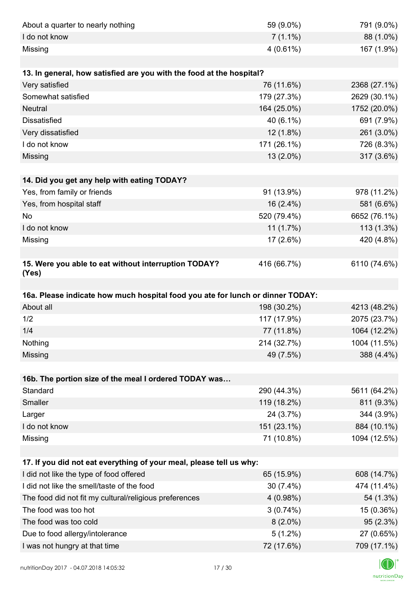| About a quarter to nearly nothing                                              | 59 (9.0%)                | 791 (9.0%)                                                                                                                         |
|--------------------------------------------------------------------------------|--------------------------|------------------------------------------------------------------------------------------------------------------------------------|
| I do not know                                                                  | $7(1.1\%)$               | 88 (1.0%)                                                                                                                          |
| Missing                                                                        | $4(0.61\%)$              | 167 (1.9%)                                                                                                                         |
|                                                                                |                          |                                                                                                                                    |
| 13. In general, how satisfied are you with the food at the hospital?           |                          |                                                                                                                                    |
| Very satisfied                                                                 | 76 (11.6%)               | 2368 (27.1%)                                                                                                                       |
| Somewhat satisfied                                                             | 179 (27.3%)              | 2629 (30.1%)                                                                                                                       |
| <b>Neutral</b>                                                                 | 164 (25.0%)              | 1752 (20.0%)                                                                                                                       |
| <b>Dissatisfied</b>                                                            | 40 (6.1%)                | 691 (7.9%)                                                                                                                         |
| Very dissatisfied                                                              | 12 (1.8%)                | 261 (3.0%)                                                                                                                         |
| I do not know                                                                  | 171 (26.1%)              | 726 (8.3%)                                                                                                                         |
| Missing                                                                        | 13 (2.0%)                | 317 (3.6%)                                                                                                                         |
|                                                                                |                          |                                                                                                                                    |
| 14. Did you get any help with eating TODAY?                                    |                          |                                                                                                                                    |
| Yes, from family or friends                                                    | 91 (13.9%)               | 978 (11.2%)                                                                                                                        |
| Yes, from hospital staff                                                       | 16 (2.4%)                | 581 (6.6%)                                                                                                                         |
| No                                                                             | 520 (79.4%)              | 6652 (76.1%)                                                                                                                       |
| I do not know                                                                  | 11(1.7%)                 | 113 (1.3%)                                                                                                                         |
| Missing                                                                        | 17 (2.6%)                | 420 (4.8%)                                                                                                                         |
|                                                                                |                          |                                                                                                                                    |
| 15. Were you able to eat without interruption TODAY?<br>(Yes)                  | 416 (66.7%)              | 6110 (74.6%)                                                                                                                       |
|                                                                                |                          |                                                                                                                                    |
|                                                                                |                          |                                                                                                                                    |
| 16a. Please indicate how much hospital food you ate for lunch or dinner TODAY: |                          |                                                                                                                                    |
| About all                                                                      | 198 (30.2%)              |                                                                                                                                    |
| 1/2                                                                            | 117 (17.9%)              |                                                                                                                                    |
| 1/4                                                                            | 77 (11.8%)               | 1064 (12.2%)                                                                                                                       |
| Nothing                                                                        | 214 (32.7%)              |                                                                                                                                    |
| Missing                                                                        | 49 (7.5%)                |                                                                                                                                    |
|                                                                                |                          |                                                                                                                                    |
| 16b. The portion size of the meal I ordered TODAY was                          |                          |                                                                                                                                    |
| Standard                                                                       | 290 (44.3%)              |                                                                                                                                    |
| Smaller                                                                        | 119 (18.2%)              | 811 (9.3%)                                                                                                                         |
| Larger                                                                         | 24 (3.7%)                |                                                                                                                                    |
| I do not know                                                                  | 151 (23.1%)              | 884 (10.1%)                                                                                                                        |
| Missing                                                                        | 71 (10.8%)               | 1094 (12.5%)                                                                                                                       |
|                                                                                |                          |                                                                                                                                    |
| 17. If you did not eat everything of your meal, please tell us why:            |                          |                                                                                                                                    |
| I did not like the type of food offered                                        | 65 (15.9%)               |                                                                                                                                    |
| I did not like the smell/taste of the food                                     | $30(7.4\%)$              | 474 (11.4%)                                                                                                                        |
| The food did not fit my cultural/religious preferences                         | 4(0.98%)                 |                                                                                                                                    |
| The food was too hot                                                           | 3(0.74%)                 | 4213 (48.2%)<br>2075 (23.7%)<br>1004 (11.5%)<br>388 (4.4%)<br>5611 (64.2%)<br>344 (3.9%)<br>608 (14.7%)<br>54 (1.3%)<br>15 (0.36%) |
| The food was too cold                                                          | $8(2.0\%)$               | 95(2.3%)                                                                                                                           |
| Due to food allergy/intolerance<br>I was not hungry at that time               | $5(1.2\%)$<br>72 (17.6%) | 27 (0.65%)<br>709 (17.1%)                                                                                                          |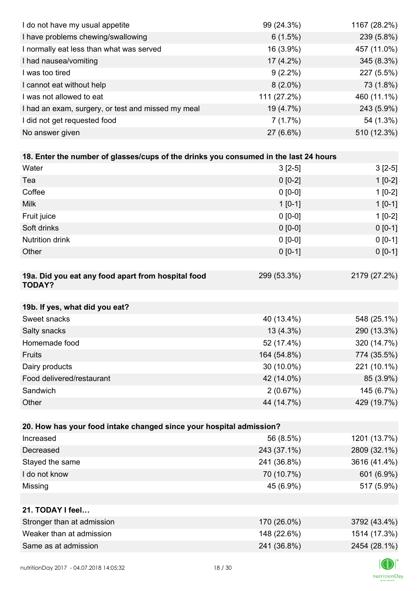| I do not have my usual appetite                                                      | 99 (24.3%)  | 1167 (28.2%) |
|--------------------------------------------------------------------------------------|-------------|--------------|
| I have problems chewing/swallowing                                                   | 6(1.5%)     | 239 (5.8%)   |
| I normally eat less than what was served                                             | 16 (3.9%)   | 457 (11.0%)  |
| I had nausea/vomiting                                                                | 17 (4.2%)   | 345 (8.3%)   |
| I was too tired                                                                      | $9(2.2\%)$  | 227 (5.5%)   |
| I cannot eat without help                                                            | $8(2.0\%)$  | 73 (1.8%)    |
| I was not allowed to eat                                                             | 111 (27.2%) | 460 (11.1%)  |
| I had an exam, surgery, or test and missed my meal                                   | 19 (4.7%)   | 243 (5.9%)   |
| I did not get requested food                                                         | 7(1.7%)     | 54 (1.3%)    |
| No answer given                                                                      | 27 (6.6%)   | 510 (12.3%)  |
|                                                                                      |             |              |
| 18. Enter the number of glasses/cups of the drinks you consumed in the last 24 hours |             |              |
| Water                                                                                | $3[2-5]$    | $3[2-5]$     |
| Tea                                                                                  | $0 [0-2]$   | $1[0-2]$     |
| Coffee                                                                               | $0 [0-0]$   | $1[0-2]$     |
| <b>Milk</b>                                                                          | $1 [0-1]$   | $1[0-1]$     |
| Fruit juice                                                                          | $0 [0-0]$   | $1[0-2]$     |
| Soft drinks                                                                          | $0 [0-0]$   | $0[0-1]$     |
| <b>Nutrition drink</b>                                                               | $0 [0-0]$   | $0 [0-1]$    |
| Other                                                                                | $0 [0-1]$   | $0 [0-1]$    |
|                                                                                      |             |              |
| 19a. Did you eat any food apart from hospital food<br><b>TODAY?</b>                  | 299 (53.3%) | 2179 (27.2%) |
| 19b. If yes, what did you eat?                                                       |             |              |
| Sweet snacks                                                                         | 40 (13.4%)  | 548 (25.1%)  |
| Salty snacks                                                                         | 13 (4.3%)   | 290 (13.3%)  |
| Homemade food                                                                        | 52 (17.4%)  | 320 (14.7%)  |
| Fruits                                                                               | 164 (54.8%) | 774 (35.5%)  |
| Dairy products                                                                       | 30 (10.0%)  | 221 (10.1%)  |
| Food delivered/restaurant                                                            | 42 (14.0%)  | 85 (3.9%)    |
| Sandwich                                                                             | 2(0.67%)    | 145 (6.7%)   |
| Other                                                                                | 44 (14.7%)  | 429 (19.7%)  |
|                                                                                      |             |              |
| 20. How has your food intake changed since your hospital admission?                  |             |              |
| Increased                                                                            | 56 (8.5%)   | 1201 (13.7%) |
| Decreased                                                                            | 243 (37.1%) | 2809 (32.1%) |
| Stayed the same                                                                      | 241 (36.8%) | 3616 (41.4%) |
| I do not know                                                                        | 70 (10.7%)  | 601 (6.9%)   |
| Missing                                                                              | 45 (6.9%)   | 517 (5.9%)   |
|                                                                                      |             |              |
| 21. TODAY I feel                                                                     |             |              |
| Stronger than at admission                                                           | 170 (26.0%) | 3792 (43.4%) |
| Weaker than at admission                                                             | 148 (22.6%) | 1514 (17.3%) |
| Same as at admission                                                                 | 241 (36.8%) | 2454 (28.1%) |
|                                                                                      |             |              |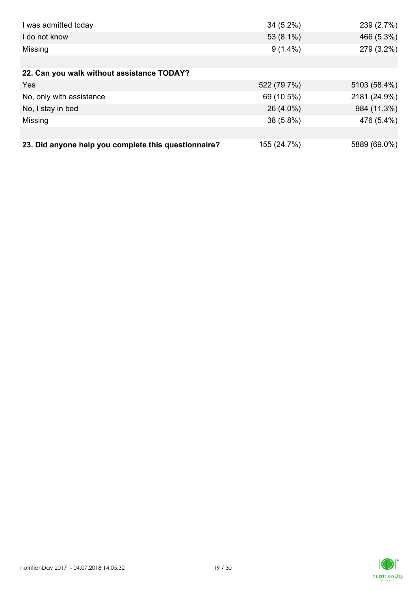| I was admitted today                                 | $34(5.2\%)$ | 239 (2.7%)   |
|------------------------------------------------------|-------------|--------------|
| I do not know                                        | 53 (8.1%)   | 466 (5.3%)   |
| Missing                                              | $9(1.4\%)$  | 279 (3.2%)   |
|                                                      |             |              |
| 22. Can you walk without assistance TODAY?           |             |              |
| Yes                                                  | 522 (79.7%) | 5103 (58.4%) |
| No, only with assistance                             | 69 (10.5%)  | 2181 (24.9%) |
| No, I stay in bed                                    | 26 (4.0%)   | 984 (11.3%)  |
| Missing                                              | 38 (5.8%)   | 476 (5.4%)   |
|                                                      |             |              |
| 23. Did anyone help you complete this questionnaire? | 155 (24.7%) | 5889 (69.0%) |

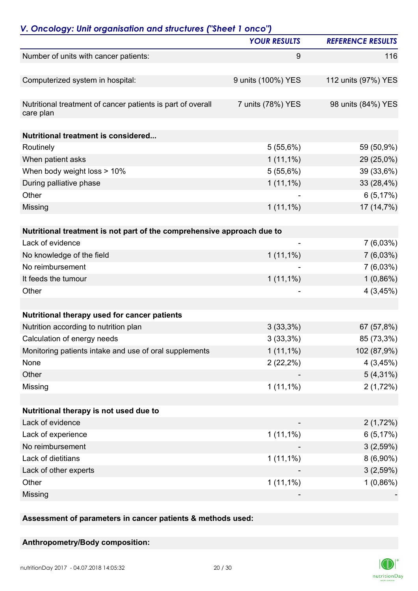|                                                                          | <b>YOUR RESULTS</b>          | <b>REFERENCE RESULTS</b> |
|--------------------------------------------------------------------------|------------------------------|--------------------------|
| Number of units with cancer patients:                                    | 9                            | 116                      |
| Computerized system in hospital:                                         | 9 units (100%) YES           | 112 units (97%) YES      |
|                                                                          |                              |                          |
| Nutritional treatment of cancer patients is part of overall<br>care plan | 7 units (78%) YES            | 98 units (84%) YES       |
| <b>Nutritional treatment is considered</b>                               |                              |                          |
| Routinely                                                                | 5(55,6%)                     | 59 (50,9%)               |
| When patient asks                                                        | $1(11,1\%)$                  | 29 (25,0%)               |
| When body weight loss > 10%                                              | 5(55,6%)                     | 39 (33,6%)               |
| During palliative phase                                                  | $1(11,1\%)$                  | 33 (28,4%)               |
| Other                                                                    |                              | 6(5,17%)                 |
| Missing                                                                  | $1(11,1\%)$                  | 17 (14,7%)               |
| Nutritional treatment is not part of the comprehensive approach due to   |                              |                          |
| Lack of evidence                                                         | $\qquad \qquad \blacksquare$ | 7(6,03%)                 |
| No knowledge of the field                                                | $1(11,1\%)$                  | $7(6,03\%)$              |
| No reimbursement                                                         |                              | $7(6,03\%)$              |
| It feeds the tumour                                                      | $1(11,1\%)$                  | $1(0,86\%)$              |
| Other                                                                    |                              | 4(3,45%)                 |
|                                                                          |                              |                          |
| Nutritional therapy used for cancer patients                             |                              |                          |
| Nutrition according to nutrition plan                                    | $3(33,3\%)$                  | 67 (57,8%)               |
| Calculation of energy needs                                              | 3(33,3%)                     | 85 (73,3%)               |
| Monitoring patients intake and use of oral supplements                   | $1(11,1\%)$                  | 102 (87,9%)              |
| None                                                                     | $2(22,2\%)$                  | 4(3,45%)                 |
| Other                                                                    |                              | $5(4,31\%)$              |
| Missing                                                                  | $1(11,1\%)$                  | 2(1,72%)                 |
|                                                                          |                              |                          |
| Nutritional therapy is not used due to                                   |                              |                          |
| Lack of evidence                                                         |                              | 2(1,72%)                 |
| Lack of experience                                                       | $1(11,1\%)$                  | 6(5,17%)                 |
| No reimbursement                                                         |                              | 3(2,59%)                 |
| Lack of dietitians                                                       | $1(11,1\%)$                  | $8(6,90\%)$              |
| Lack of other experts                                                    |                              | 3(2,59%)                 |
| Other                                                                    | $1(11,1\%)$                  | $1(0,86\%)$              |
| Missing                                                                  |                              |                          |

**Assessment of parameters in cancer patients & methods used:**

#### **Anthropometry/Body composition:**

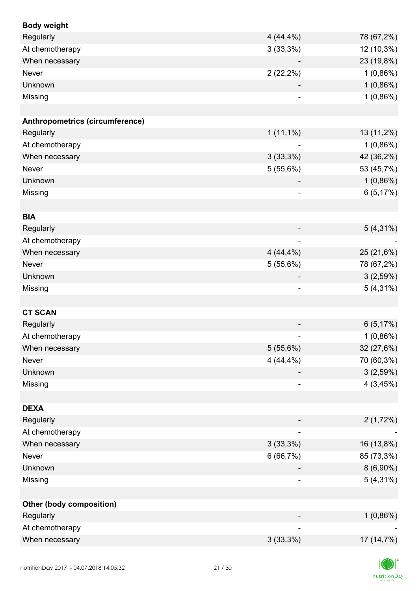| <b>Body weight</b>              |                              |             |
|---------------------------------|------------------------------|-------------|
| Regularly                       | 4(44,4%)                     | 78 (67,2%)  |
| At chemotherapy                 | 3(33,3%)                     | 12 (10,3%)  |
| When necessary                  |                              | 23 (19,8%)  |
| <b>Never</b>                    | $2(22,2\%)$                  | $1(0,86\%)$ |
| Unknown                         |                              | 1(0,86%)    |
| Missing                         |                              | 1(0,86%)    |
|                                 |                              |             |
| Anthropometrics (circumference) |                              |             |
| Regularly                       | $1(11,1\%)$                  | 13 (11,2%)  |
| At chemotherapy                 |                              | 1(0,86%)    |
| When necessary                  | 3(33,3%)                     | 42 (36,2%)  |
| Never                           | 5(55,6%)                     | 53 (45,7%)  |
| Unknown                         |                              | 1(0,86%)    |
| Missing                         | $\overline{\phantom{a}}$     | 6(5,17%)    |
|                                 |                              |             |
| <b>BIA</b>                      |                              |             |
| Regularly                       |                              | $5(4,31\%)$ |
| At chemotherapy                 | $\overline{\phantom{a}}$     |             |
| When necessary                  | 4(44,4%)                     | 25 (21,6%)  |
| Never                           | 5(55,6%)                     | 78 (67,2%)  |
| Unknown                         | $\overline{\phantom{a}}$     | 3(2,59%)    |
| Missing                         | $\qquad \qquad \blacksquare$ | $5(4,31\%)$ |
|                                 |                              |             |
| <b>CT SCAN</b>                  |                              |             |
| Regularly                       |                              | 6(5,17%)    |
| At chemotherapy                 |                              | 1(0,86%)    |
| When necessary                  | 5(55,6%)                     | 32 (27,6%)  |
| Never                           | 4(44,4%)                     | 70 (60,3%)  |
| Unknown                         |                              | 3(2,59%)    |
| Missing                         |                              | 4(3,45%)    |
|                                 |                              |             |
| <b>DEXA</b>                     |                              |             |
| Regularly                       |                              | 2(1,72%)    |
| At chemotherapy                 | ۰                            |             |
| When necessary                  | 3(33,3%)                     | 16 (13,8%)  |
| Never                           | 6(66,7%)                     | 85 (73,3%)  |
| Unknown                         |                              | $8(6,90\%)$ |
| Missing                         |                              | $5(4,31\%)$ |
|                                 |                              |             |
| <b>Other (body composition)</b> |                              |             |
| Regularly                       |                              | 1(0,86%)    |
| At chemotherapy                 |                              |             |
| When necessary                  | 3(33,3%)                     | 17 (14,7%)  |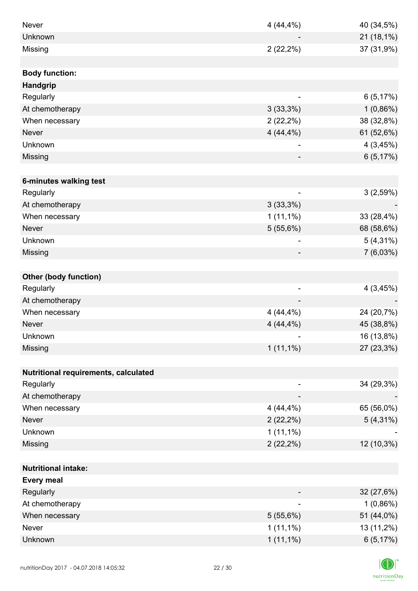| <b>Never</b>                         | 4(44,4%)                 | 40 (34,5%)  |
|--------------------------------------|--------------------------|-------------|
| Unknown                              |                          | 21 (18,1%)  |
| Missing                              | $2(22,2\%)$              | 37 (31,9%)  |
|                                      |                          |             |
| <b>Body function:</b>                |                          |             |
| Handgrip                             |                          |             |
| Regularly                            |                          | 6(5,17%)    |
| At chemotherapy                      | 3(33,3%)                 | $1(0,86\%)$ |
| When necessary                       | $2(22,2\%)$              | 38 (32,8%)  |
| <b>Never</b>                         | $4(44,4\%)$              | 61 (52,6%)  |
| Unknown                              |                          | 4(3,45%)    |
| Missing                              |                          | 6(5,17%)    |
|                                      |                          |             |
| 6-minutes walking test               |                          |             |
| Regularly                            | $\overline{\phantom{a}}$ | 3(2,59%)    |
| At chemotherapy                      | $3(33,3\%)$              |             |
| When necessary                       | $1(11,1\%)$              | 33 (28,4%)  |
| <b>Never</b>                         | 5(55,6%)                 | 68 (58,6%)  |
| Unknown                              |                          | $5(4,31\%)$ |
| Missing                              |                          | 7(6,03%)    |
|                                      |                          |             |
| <b>Other (body function)</b>         |                          |             |
| Regularly                            | $\overline{\phantom{a}}$ | 4(3,45%)    |
| At chemotherapy                      |                          |             |
| When necessary                       | 4(44,4%)                 | 24 (20,7%)  |
| <b>Never</b>                         | 4(44,4%)                 | 45 (38,8%)  |
| Unknown                              |                          | 16 (13,8%)  |
| Missing                              | $1(11,1\%)$              | 27 (23,3%)  |
|                                      |                          |             |
| Nutritional requirements, calculated |                          |             |
| Regularly                            |                          | 34 (29,3%)  |
| At chemotherapy                      |                          |             |
| When necessary                       | 4(44,4%)                 | 65 (56,0%)  |
| <b>Never</b>                         | $2(22,2\%)$              | $5(4,31\%)$ |
| Unknown                              | $1(11,1\%)$              |             |
| Missing                              | $2(22,2\%)$              | 12 (10,3%)  |
|                                      |                          |             |
| <b>Nutritional intake:</b>           |                          |             |
| <b>Every meal</b>                    |                          |             |
| Regularly                            |                          | 32 (27,6%)  |
| At chemotherapy                      | $\overline{\phantom{a}}$ | $1(0,86\%)$ |
| When necessary                       | 5(55,6%)                 | 51 (44,0%)  |
| Never                                | $1(11,1\%)$              | 13 (11,2%)  |
| Unknown                              | $1(11,1\%)$              | 6(5,17%)    |

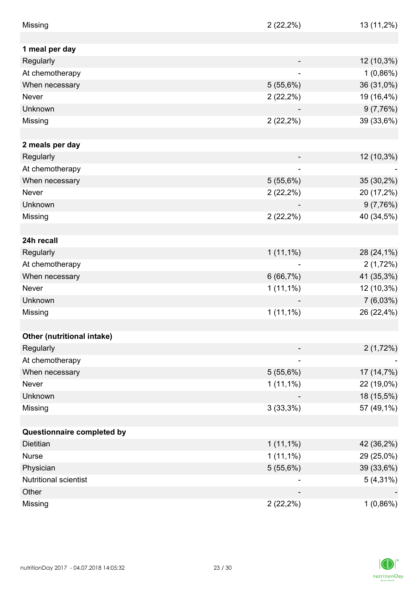| Missing                    | $2(22,2\%)$                  | 13 (11,2%)  |
|----------------------------|------------------------------|-------------|
|                            |                              |             |
| 1 meal per day             |                              |             |
| Regularly                  |                              | 12 (10,3%)  |
| At chemotherapy            |                              | $1(0,86\%)$ |
| When necessary             | 5(55,6%)                     | 36 (31,0%)  |
| <b>Never</b>               | $2(22,2\%)$                  | 19 (16,4%)  |
| Unknown                    |                              | 9(7,76%)    |
| Missing                    | $2(22,2\%)$                  | 39 (33,6%)  |
|                            |                              |             |
| 2 meals per day            |                              |             |
| Regularly                  |                              | 12 (10,3%)  |
| At chemotherapy            | $\qquad \qquad \blacksquare$ |             |
| When necessary             | 5(55,6%)                     | 35 (30,2%)  |
| Never                      | $2(22,2\%)$                  | 20 (17,2%)  |
| Unknown                    |                              | 9(7,76%)    |
| Missing                    | $2(22,2\%)$                  | 40 (34,5%)  |
|                            |                              |             |
| 24h recall                 |                              |             |
| Regularly                  | $1(11,1\%)$                  | 28 (24,1%)  |
| At chemotherapy            |                              | 2(1,72%)    |
| When necessary             | 6(66,7%)                     | 41 (35,3%)  |
| Never                      | $1(11,1\%)$                  | 12 (10,3%)  |
| Unknown                    |                              | $7(6,03\%)$ |
| Missing                    | $1(11,1\%)$                  | 26 (22,4%)  |
|                            |                              |             |
| Other (nutritional intake) |                              |             |
| Regularly                  |                              | 2(1,72%)    |
| At chemotherapy            |                              |             |
| When necessary             | 5(55,6%)                     | 17 (14,7%)  |
| Never                      | $1(11,1\%)$                  | 22 (19,0%)  |
| Unknown                    |                              | 18 (15,5%)  |
| Missing                    | 3(33,3%)                     | 57 (49,1%)  |
|                            |                              |             |
| Questionnaire completed by |                              |             |
| Dietitian                  | $1(11,1\%)$                  | 42 (36,2%)  |
| <b>Nurse</b>               | $1(11,1\%)$                  | 29 (25,0%)  |
| Physician                  | 5(55,6%)                     | 39 (33,6%)  |
| Nutritional scientist      |                              | $5(4,31\%)$ |
| Other                      |                              |             |
| Missing                    | $2(22,2\%)$                  | $1(0,86\%)$ |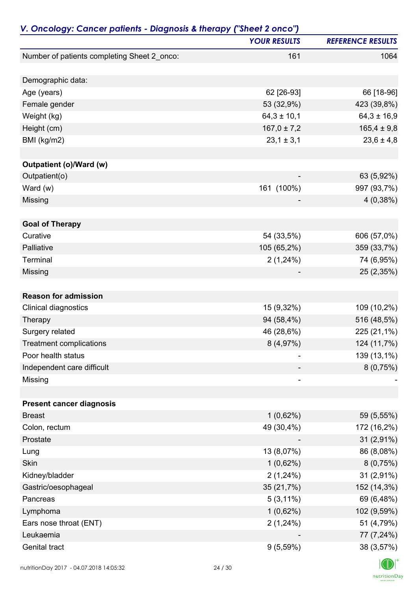| <b>YOUR RESULTS</b><br><b>REFERENCE RESULTS</b><br>Number of patients completing Sheet 2_onco:<br>1064<br>161<br>Demographic data:<br>62 [26-93]<br>66 [18-96]<br>Age (years)<br>423 (39,8%)<br>53 (32,9%)<br>Female gender<br>$64,3 \pm 10,1$<br>$64,3 \pm 16,9$<br>Weight (kg)<br>$167,0 \pm 7,2$<br>$165,4 \pm 9,8$<br>Height (cm)<br>BMI (kg/m2)<br>$23,1 \pm 3,1$<br>$23,6 \pm 4,8$<br>Outpatient (o)/Ward (w)<br>Outpatient(o)<br>63 (5,92%)<br>161 (100%)<br>Ward $(w)$<br>997 (93,7%)<br>4(0,38%)<br>Missing<br><b>Goal of Therapy</b><br>Curative<br>54 (33,5%)<br>606 (57,0%)<br>Palliative<br>105 (65,2%)<br>359 (33,7%)<br>Terminal<br>2(1,24%)<br>74 (6,95%)<br>Missing<br>25 (2,35%)<br><b>Reason for admission</b><br>Clinical diagnostics<br>15 (9,32%)<br>109 (10,2%)<br>94 (58,4%)<br>516 (48,5%)<br>Therapy<br>46 (28,6%)<br>225 (21,1%)<br>Surgery related<br>8 (4,97%)<br>124 (11,7%)<br><b>Treatment complications</b><br>Poor health status<br>139 (13,1%)<br>8(0,75%)<br>Independent care difficult<br>Missing<br>-<br><b>Present cancer diagnosis</b><br><b>Breast</b><br>1(0,62%)<br>59 (5,55%)<br>Colon, rectum<br>49 (30,4%)<br>172 (16,2%)<br>Prostate<br>$31(2,91\%)$<br>86 (8,08%)<br>Lung<br>13 (8,07%)<br>Skin<br>1(0,62%)<br>8(0,75%)<br>Kidney/bladder<br>2(1,24%)<br>31 (2,91%)<br>35 (21,7%)<br>152 (14,3%)<br>Gastric/oesophageal<br>$5(3,11\%)$<br>69 (6,48%)<br>Pancreas<br>102 (9,59%)<br>Lymphoma<br>1(0,62%)<br>Ears nose throat (ENT)<br>2(1,24%)<br>51 (4,79%)<br>Leukaemia<br>77 (7,24%)<br>Genital tract<br>9(5,59%)<br>38 (3,57%) | V. Oncology: Cancer patients - Diagnosis & therapy ("Sheet 2 onco") |  |  |
|-----------------------------------------------------------------------------------------------------------------------------------------------------------------------------------------------------------------------------------------------------------------------------------------------------------------------------------------------------------------------------------------------------------------------------------------------------------------------------------------------------------------------------------------------------------------------------------------------------------------------------------------------------------------------------------------------------------------------------------------------------------------------------------------------------------------------------------------------------------------------------------------------------------------------------------------------------------------------------------------------------------------------------------------------------------------------------------------------------------------------------------------------------------------------------------------------------------------------------------------------------------------------------------------------------------------------------------------------------------------------------------------------------------------------------------------------------------------------------------------------------------------------------------------------------------------------------------|---------------------------------------------------------------------|--|--|
|                                                                                                                                                                                                                                                                                                                                                                                                                                                                                                                                                                                                                                                                                                                                                                                                                                                                                                                                                                                                                                                                                                                                                                                                                                                                                                                                                                                                                                                                                                                                                                                   |                                                                     |  |  |
|                                                                                                                                                                                                                                                                                                                                                                                                                                                                                                                                                                                                                                                                                                                                                                                                                                                                                                                                                                                                                                                                                                                                                                                                                                                                                                                                                                                                                                                                                                                                                                                   |                                                                     |  |  |
|                                                                                                                                                                                                                                                                                                                                                                                                                                                                                                                                                                                                                                                                                                                                                                                                                                                                                                                                                                                                                                                                                                                                                                                                                                                                                                                                                                                                                                                                                                                                                                                   |                                                                     |  |  |
|                                                                                                                                                                                                                                                                                                                                                                                                                                                                                                                                                                                                                                                                                                                                                                                                                                                                                                                                                                                                                                                                                                                                                                                                                                                                                                                                                                                                                                                                                                                                                                                   |                                                                     |  |  |
|                                                                                                                                                                                                                                                                                                                                                                                                                                                                                                                                                                                                                                                                                                                                                                                                                                                                                                                                                                                                                                                                                                                                                                                                                                                                                                                                                                                                                                                                                                                                                                                   |                                                                     |  |  |
|                                                                                                                                                                                                                                                                                                                                                                                                                                                                                                                                                                                                                                                                                                                                                                                                                                                                                                                                                                                                                                                                                                                                                                                                                                                                                                                                                                                                                                                                                                                                                                                   |                                                                     |  |  |
|                                                                                                                                                                                                                                                                                                                                                                                                                                                                                                                                                                                                                                                                                                                                                                                                                                                                                                                                                                                                                                                                                                                                                                                                                                                                                                                                                                                                                                                                                                                                                                                   |                                                                     |  |  |
|                                                                                                                                                                                                                                                                                                                                                                                                                                                                                                                                                                                                                                                                                                                                                                                                                                                                                                                                                                                                                                                                                                                                                                                                                                                                                                                                                                                                                                                                                                                                                                                   |                                                                     |  |  |
|                                                                                                                                                                                                                                                                                                                                                                                                                                                                                                                                                                                                                                                                                                                                                                                                                                                                                                                                                                                                                                                                                                                                                                                                                                                                                                                                                                                                                                                                                                                                                                                   |                                                                     |  |  |
|                                                                                                                                                                                                                                                                                                                                                                                                                                                                                                                                                                                                                                                                                                                                                                                                                                                                                                                                                                                                                                                                                                                                                                                                                                                                                                                                                                                                                                                                                                                                                                                   |                                                                     |  |  |
|                                                                                                                                                                                                                                                                                                                                                                                                                                                                                                                                                                                                                                                                                                                                                                                                                                                                                                                                                                                                                                                                                                                                                                                                                                                                                                                                                                                                                                                                                                                                                                                   |                                                                     |  |  |
|                                                                                                                                                                                                                                                                                                                                                                                                                                                                                                                                                                                                                                                                                                                                                                                                                                                                                                                                                                                                                                                                                                                                                                                                                                                                                                                                                                                                                                                                                                                                                                                   |                                                                     |  |  |
|                                                                                                                                                                                                                                                                                                                                                                                                                                                                                                                                                                                                                                                                                                                                                                                                                                                                                                                                                                                                                                                                                                                                                                                                                                                                                                                                                                                                                                                                                                                                                                                   |                                                                     |  |  |
|                                                                                                                                                                                                                                                                                                                                                                                                                                                                                                                                                                                                                                                                                                                                                                                                                                                                                                                                                                                                                                                                                                                                                                                                                                                                                                                                                                                                                                                                                                                                                                                   |                                                                     |  |  |
|                                                                                                                                                                                                                                                                                                                                                                                                                                                                                                                                                                                                                                                                                                                                                                                                                                                                                                                                                                                                                                                                                                                                                                                                                                                                                                                                                                                                                                                                                                                                                                                   |                                                                     |  |  |
|                                                                                                                                                                                                                                                                                                                                                                                                                                                                                                                                                                                                                                                                                                                                                                                                                                                                                                                                                                                                                                                                                                                                                                                                                                                                                                                                                                                                                                                                                                                                                                                   |                                                                     |  |  |
|                                                                                                                                                                                                                                                                                                                                                                                                                                                                                                                                                                                                                                                                                                                                                                                                                                                                                                                                                                                                                                                                                                                                                                                                                                                                                                                                                                                                                                                                                                                                                                                   |                                                                     |  |  |
|                                                                                                                                                                                                                                                                                                                                                                                                                                                                                                                                                                                                                                                                                                                                                                                                                                                                                                                                                                                                                                                                                                                                                                                                                                                                                                                                                                                                                                                                                                                                                                                   |                                                                     |  |  |
|                                                                                                                                                                                                                                                                                                                                                                                                                                                                                                                                                                                                                                                                                                                                                                                                                                                                                                                                                                                                                                                                                                                                                                                                                                                                                                                                                                                                                                                                                                                                                                                   |                                                                     |  |  |
|                                                                                                                                                                                                                                                                                                                                                                                                                                                                                                                                                                                                                                                                                                                                                                                                                                                                                                                                                                                                                                                                                                                                                                                                                                                                                                                                                                                                                                                                                                                                                                                   |                                                                     |  |  |
|                                                                                                                                                                                                                                                                                                                                                                                                                                                                                                                                                                                                                                                                                                                                                                                                                                                                                                                                                                                                                                                                                                                                                                                                                                                                                                                                                                                                                                                                                                                                                                                   |                                                                     |  |  |
|                                                                                                                                                                                                                                                                                                                                                                                                                                                                                                                                                                                                                                                                                                                                                                                                                                                                                                                                                                                                                                                                                                                                                                                                                                                                                                                                                                                                                                                                                                                                                                                   |                                                                     |  |  |
|                                                                                                                                                                                                                                                                                                                                                                                                                                                                                                                                                                                                                                                                                                                                                                                                                                                                                                                                                                                                                                                                                                                                                                                                                                                                                                                                                                                                                                                                                                                                                                                   |                                                                     |  |  |
|                                                                                                                                                                                                                                                                                                                                                                                                                                                                                                                                                                                                                                                                                                                                                                                                                                                                                                                                                                                                                                                                                                                                                                                                                                                                                                                                                                                                                                                                                                                                                                                   |                                                                     |  |  |
|                                                                                                                                                                                                                                                                                                                                                                                                                                                                                                                                                                                                                                                                                                                                                                                                                                                                                                                                                                                                                                                                                                                                                                                                                                                                                                                                                                                                                                                                                                                                                                                   |                                                                     |  |  |
|                                                                                                                                                                                                                                                                                                                                                                                                                                                                                                                                                                                                                                                                                                                                                                                                                                                                                                                                                                                                                                                                                                                                                                                                                                                                                                                                                                                                                                                                                                                                                                                   |                                                                     |  |  |
|                                                                                                                                                                                                                                                                                                                                                                                                                                                                                                                                                                                                                                                                                                                                                                                                                                                                                                                                                                                                                                                                                                                                                                                                                                                                                                                                                                                                                                                                                                                                                                                   |                                                                     |  |  |
|                                                                                                                                                                                                                                                                                                                                                                                                                                                                                                                                                                                                                                                                                                                                                                                                                                                                                                                                                                                                                                                                                                                                                                                                                                                                                                                                                                                                                                                                                                                                                                                   |                                                                     |  |  |
|                                                                                                                                                                                                                                                                                                                                                                                                                                                                                                                                                                                                                                                                                                                                                                                                                                                                                                                                                                                                                                                                                                                                                                                                                                                                                                                                                                                                                                                                                                                                                                                   |                                                                     |  |  |
|                                                                                                                                                                                                                                                                                                                                                                                                                                                                                                                                                                                                                                                                                                                                                                                                                                                                                                                                                                                                                                                                                                                                                                                                                                                                                                                                                                                                                                                                                                                                                                                   |                                                                     |  |  |
|                                                                                                                                                                                                                                                                                                                                                                                                                                                                                                                                                                                                                                                                                                                                                                                                                                                                                                                                                                                                                                                                                                                                                                                                                                                                                                                                                                                                                                                                                                                                                                                   |                                                                     |  |  |
|                                                                                                                                                                                                                                                                                                                                                                                                                                                                                                                                                                                                                                                                                                                                                                                                                                                                                                                                                                                                                                                                                                                                                                                                                                                                                                                                                                                                                                                                                                                                                                                   |                                                                     |  |  |
|                                                                                                                                                                                                                                                                                                                                                                                                                                                                                                                                                                                                                                                                                                                                                                                                                                                                                                                                                                                                                                                                                                                                                                                                                                                                                                                                                                                                                                                                                                                                                                                   |                                                                     |  |  |
|                                                                                                                                                                                                                                                                                                                                                                                                                                                                                                                                                                                                                                                                                                                                                                                                                                                                                                                                                                                                                                                                                                                                                                                                                                                                                                                                                                                                                                                                                                                                                                                   |                                                                     |  |  |
|                                                                                                                                                                                                                                                                                                                                                                                                                                                                                                                                                                                                                                                                                                                                                                                                                                                                                                                                                                                                                                                                                                                                                                                                                                                                                                                                                                                                                                                                                                                                                                                   |                                                                     |  |  |
|                                                                                                                                                                                                                                                                                                                                                                                                                                                                                                                                                                                                                                                                                                                                                                                                                                                                                                                                                                                                                                                                                                                                                                                                                                                                                                                                                                                                                                                                                                                                                                                   |                                                                     |  |  |
|                                                                                                                                                                                                                                                                                                                                                                                                                                                                                                                                                                                                                                                                                                                                                                                                                                                                                                                                                                                                                                                                                                                                                                                                                                                                                                                                                                                                                                                                                                                                                                                   |                                                                     |  |  |
|                                                                                                                                                                                                                                                                                                                                                                                                                                                                                                                                                                                                                                                                                                                                                                                                                                                                                                                                                                                                                                                                                                                                                                                                                                                                                                                                                                                                                                                                                                                                                                                   |                                                                     |  |  |
|                                                                                                                                                                                                                                                                                                                                                                                                                                                                                                                                                                                                                                                                                                                                                                                                                                                                                                                                                                                                                                                                                                                                                                                                                                                                                                                                                                                                                                                                                                                                                                                   |                                                                     |  |  |
|                                                                                                                                                                                                                                                                                                                                                                                                                                                                                                                                                                                                                                                                                                                                                                                                                                                                                                                                                                                                                                                                                                                                                                                                                                                                                                                                                                                                                                                                                                                                                                                   |                                                                     |  |  |
|                                                                                                                                                                                                                                                                                                                                                                                                                                                                                                                                                                                                                                                                                                                                                                                                                                                                                                                                                                                                                                                                                                                                                                                                                                                                                                                                                                                                                                                                                                                                                                                   |                                                                     |  |  |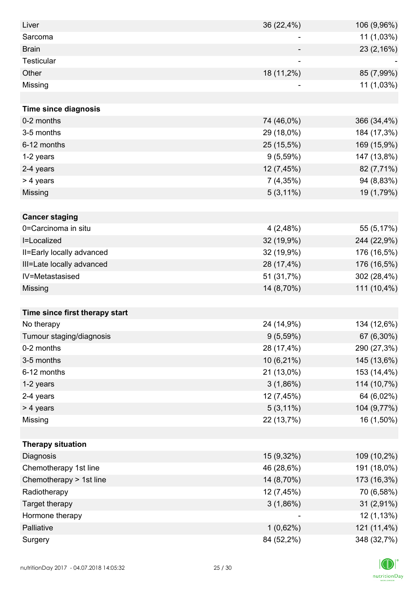| Liver                          | 36 (22,4%)     | 106 (9,96%) |
|--------------------------------|----------------|-------------|
| Sarcoma                        | $\overline{a}$ | 11 (1,03%)  |
| <b>Brain</b>                   |                | 23 (2,16%)  |
| <b>Testicular</b>              | ۰              |             |
| Other                          | 18 (11,2%)     | 85 (7,99%)  |
| Missing                        |                | 11 (1,03%)  |
|                                |                |             |
| <b>Time since diagnosis</b>    |                |             |
| 0-2 months                     | 74 (46,0%)     | 366 (34,4%) |
| 3-5 months                     | 29 (18,0%)     | 184 (17,3%) |
| 6-12 months                    | 25 (15,5%)     | 169 (15,9%) |
| 1-2 years                      | $9(5,59\%)$    | 147 (13,8%) |
| 2-4 years                      | 12 (7,45%)     | 82 (7,71%)  |
| > 4 years                      | 7(4,35%)       | 94 (8,83%)  |
| Missing                        | $5(3,11\%)$    | 19 (1,79%)  |
|                                |                |             |
| <b>Cancer staging</b>          |                |             |
| 0=Carcinoma in situ            | 4(2,48%)       | 55 (5,17%)  |
| I=Localized                    | 32 (19,9%)     | 244 (22,9%) |
| II=Early locally advanced      | 32 (19,9%)     | 176 (16,5%) |
| III=Late locally advanced      | 28 (17,4%)     | 176 (16,5%) |
| IV=Metastasised                | 51 (31,7%)     | 302 (28,4%) |
| Missing                        | 14 (8,70%)     | 111 (10,4%) |
|                                |                |             |
| Time since first therapy start |                |             |
| No therapy                     | 24 (14,9%)     | 134 (12,6%) |
| Tumour staging/diagnosis       | $9(5,59\%)$    | 67 (6,30%)  |
| 0-2 months                     | 28 (17,4%)     | 290 (27,3%) |
| 3-5 months                     | 10 (6,21%)     | 145 (13,6%) |
| 6-12 months                    | 21 (13,0%)     | 153 (14,4%) |
| 1-2 years                      | 3(1,86%)       | 114 (10,7%) |
| 2-4 years                      | 12 (7,45%)     | 64 (6,02%)  |
| > 4 years                      | $5(3,11\%)$    | 104 (9,77%) |
| Missing                        | 22 (13,7%)     | 16 (1,50%)  |
|                                |                |             |
| <b>Therapy situation</b>       |                |             |
| Diagnosis                      | 15 (9,32%)     | 109 (10,2%) |
| Chemotherapy 1st line          | 46 (28,6%)     | 191 (18,0%) |
| Chemotherapy > 1st line        | 14 (8,70%)     | 173 (16,3%) |
| Radiotherapy                   | 12 (7,45%)     | 70 (6,58%)  |
| Target therapy                 | $3(1,86\%)$    | 31 (2,91%)  |
| Hormone therapy                |                | 12 (1,13%)  |
| Palliative                     | $1(0,62\%)$    | 121 (11,4%) |
| Surgery                        | 84 (52,2%)     | 348 (32,7%) |

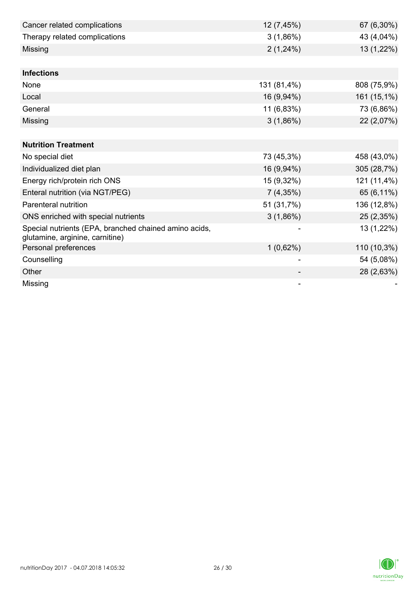| Cancer related complications                                                             | 12 (7,45%)  | 67 (6,30%)  |
|------------------------------------------------------------------------------------------|-------------|-------------|
| Therapy related complications                                                            | 3(1,86%)    | 43 (4,04%)  |
| Missing                                                                                  | 2(1,24%)    | 13 (1,22%)  |
|                                                                                          |             |             |
| <b>Infections</b>                                                                        |             |             |
| None                                                                                     | 131 (81,4%) | 808 (75,9%) |
| Local                                                                                    | 16 (9,94%)  | 161 (15,1%) |
| General                                                                                  | 11 (6,83%)  | 73 (6,86%)  |
| Missing                                                                                  | $3(1,86\%)$ | 22 (2,07%)  |
|                                                                                          |             |             |
| <b>Nutrition Treatment</b>                                                               |             |             |
| No special diet                                                                          | 73 (45,3%)  | 458 (43,0%) |
| Individualized diet plan                                                                 | 16 (9,94%)  | 305 (28,7%) |
| Energy rich/protein rich ONS                                                             | 15 (9,32%)  | 121 (11,4%) |
| Enteral nutrition (via NGT/PEG)                                                          | 7(4,35%)    | 65 (6,11%)  |
| Parenteral nutrition                                                                     | 51 (31,7%)  | 136 (12,8%) |
| ONS enriched with special nutrients                                                      | $3(1,86\%)$ | 25 (2,35%)  |
| Special nutrients (EPA, branched chained amino acids,<br>glutamine, arginine, carnitine) |             | 13 (1,22%)  |
| Personal preferences                                                                     | $1(0,62\%)$ | 110 (10,3%) |
| Counselling                                                                              |             | 54 (5,08%)  |
| Other                                                                                    |             | 28 (2,63%)  |
| Missing                                                                                  |             |             |

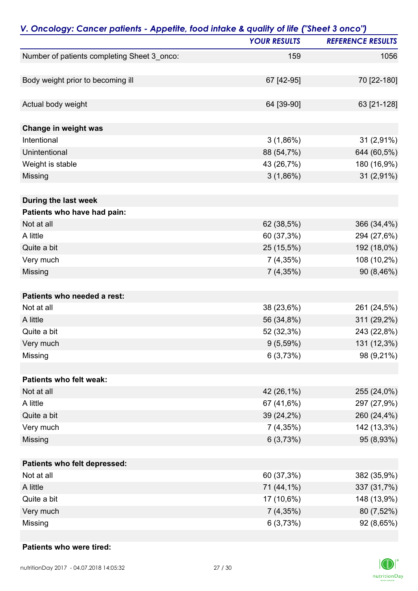| V. Oncology: Cancer patients - Appetite, food intake & quality of life ("Sheet 3 onco") |                     |                          |
|-----------------------------------------------------------------------------------------|---------------------|--------------------------|
|                                                                                         | <b>YOUR RESULTS</b> | <b>REFERENCE RESULTS</b> |
| Number of patients completing Sheet 3_onco:                                             | 159                 | 1056                     |
| Body weight prior to becoming ill                                                       | 67 [42-95]          | 70 [22-180]              |
|                                                                                         |                     |                          |
| Actual body weight                                                                      | 64 [39-90]          | 63 [21-128]              |
| Change in weight was                                                                    |                     |                          |
| Intentional                                                                             | 3(1,86%)            | 31 (2,91%)               |
| Unintentional                                                                           | 88 (54,7%)          | 644 (60,5%)              |
| Weight is stable                                                                        | 43 (26,7%)          | 180 (16,9%)              |
| Missing                                                                                 | $3(1,86\%)$         | 31 (2,91%)               |
| During the last week                                                                    |                     |                          |
| Patients who have had pain:                                                             |                     |                          |
| Not at all                                                                              | 62 (38,5%)          | 366 (34,4%)              |
| A little                                                                                | 60 (37,3%)          | 294 (27,6%)              |
| Quite a bit                                                                             | 25 (15,5%)          | 192 (18,0%)              |
| Very much                                                                               | 7(4,35%)            | 108 (10,2%)              |
| Missing                                                                                 | $7(4,35\%)$         | 90 (8,46%)               |
| Patients who needed a rest:                                                             |                     |                          |
| Not at all                                                                              | 38 (23,6%)          | 261 (24,5%)              |
| A little                                                                                | 56 (34,8%)          | 311 (29,2%)              |
| Quite a bit                                                                             | 52 (32,3%)          | 243 (22,8%)              |
| Very much                                                                               | $9(5,59\%)$         | 131 (12,3%)              |
| Missing                                                                                 | 6(3,73%)            | 98 (9,21%)               |
| Patients who felt weak:                                                                 |                     |                          |
| Not at all                                                                              | 42 (26,1%)          | 255 (24,0%)              |
| A little                                                                                | 67 (41,6%)          | 297 (27,9%)              |
| Quite a bit                                                                             | 39 (24,2%)          | 260 (24,4%)              |
| Very much                                                                               | 7(4,35%)            | 142 (13,3%)              |
| Missing                                                                                 | 6(3,73%)            | 95 (8,93%)               |
| Patients who felt depressed:                                                            |                     |                          |
| Not at all                                                                              | 60 (37,3%)          | 382 (35,9%)              |
| A little                                                                                | 71 (44,1%)          | 337 (31,7%)              |
| Quite a bit                                                                             | 17 (10,6%)          | 148 (13,9%)              |
| Very much                                                                               | $7(4,35\%)$         | 80 (7,52%)               |
| Missing                                                                                 | 6(3,73%)            | 92 (8,65%)               |

#### **Patients who were tired:**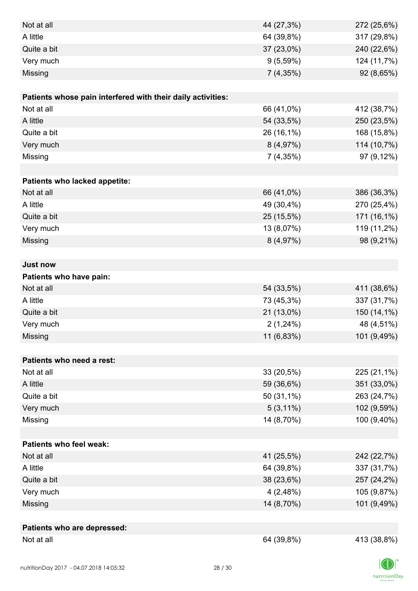| Not at all<br>44 (27,3%)                                    | 272 (25,6%) |
|-------------------------------------------------------------|-------------|
| A little<br>64 (39,8%)                                      | 317 (29,8%) |
| Quite a bit<br>37 (23,0%)                                   | 240 (22,6%) |
| Very much<br>9(5,59%)                                       | 124 (11,7%) |
| Missing<br>7(4,35%)                                         | 92 (8,65%)  |
|                                                             |             |
| Patients whose pain interfered with their daily activities: |             |
| Not at all<br>66 (41,0%)                                    | 412 (38,7%) |
| A little<br>54 (33,5%)                                      | 250 (23,5%) |
| Quite a bit<br>26 (16,1%)                                   | 168 (15,8%) |
| Very much<br>8(4,97%)                                       | 114 (10,7%) |
| Missing<br>7(4,35%)                                         | 97 (9,12%)  |
|                                                             |             |
| Patients who lacked appetite:                               |             |
| Not at all<br>66 (41,0%)                                    | 386 (36,3%) |
| A little<br>49 (30,4%)                                      | 270 (25,4%) |
| Quite a bit<br>25 (15,5%)                                   | 171 (16,1%) |
| Very much<br>13 (8,07%)                                     | 119 (11,2%) |
| Missing<br>8(4,97%)                                         | 98 (9,21%)  |
|                                                             |             |
| <b>Just now</b>                                             |             |
| Patients who have pain:                                     |             |
| Not at all<br>54 (33,5%)                                    | 411 (38,6%) |
| A little<br>73 (45,3%)                                      | 337 (31,7%) |
| Quite a bit<br>21 (13,0%)                                   | 150 (14,1%) |
| Very much<br>2(1,24%)                                       | 48 (4,51%)  |
| 11 (6,83%)<br>Missing                                       | 101 (9,49%) |
|                                                             |             |
| Patients who need a rest:                                   |             |
| Not at all<br>33 (20,5%)                                    | 225 (21,1%) |
| A little<br>59 (36,6%)                                      | 351 (33,0%) |
| Quite a bit<br>50 (31,1%)                                   | 263 (24,7%) |
| Very much<br>$5(3,11\%)$                                    | 102 (9,59%) |
| 14 (8,70%)<br>Missing                                       | 100 (9,40%) |
|                                                             |             |
| <b>Patients who feel weak:</b>                              |             |
| Not at all<br>41 (25,5%)                                    | 242 (22,7%) |
| A little<br>64 (39,8%)                                      | 337 (31,7%) |
| 38 (23,6%)<br>Quite a bit                                   | 257 (24,2%) |
| Very much<br>4(2,48%)                                       | 105 (9,87%) |
| Missing<br>14 (8,70%)                                       | 101 (9,49%) |
|                                                             |             |
| Patients who are depressed:                                 | 413 (38,8%) |
| Not at all<br>64 (39,8%)                                    |             |

 $|D|$  $\label{eq:2} \mathsf{nutritionDay}$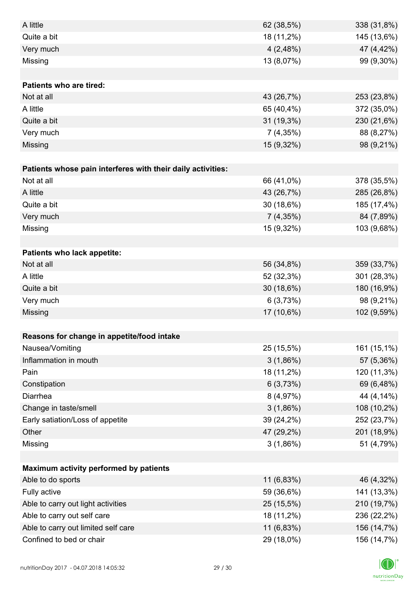| A little                                                    | 62 (38,5%)  | 338 (31,8%) |
|-------------------------------------------------------------|-------------|-------------|
| Quite a bit                                                 | 18 (11,2%)  | 145 (13,6%) |
| Very much                                                   | 4(2,48%)    | 47 (4,42%)  |
| Missing                                                     | 13 (8,07%)  | 99 (9,30%)  |
|                                                             |             |             |
| <b>Patients who are tired:</b>                              |             |             |
| Not at all                                                  | 43 (26,7%)  | 253 (23,8%) |
| A little                                                    | 65 (40,4%)  | 372 (35,0%) |
| Quite a bit                                                 | 31 (19,3%)  | 230 (21,6%) |
| Very much                                                   | 7(4,35%)    | 88 (8,27%)  |
| Missing                                                     | 15 (9,32%)  | 98 (9,21%)  |
|                                                             |             |             |
| Patients whose pain interferes with their daily activities: |             |             |
| Not at all                                                  | 66 (41,0%)  | 378 (35,5%) |
| A little                                                    | 43 (26,7%)  | 285 (26,8%) |
| Quite a bit                                                 | 30 (18,6%)  | 185 (17,4%) |
| Very much                                                   | 7(4,35%)    | 84 (7,89%)  |
| Missing                                                     | 15 (9,32%)  | 103 (9,68%) |
|                                                             |             |             |
| Patients who lack appetite:                                 |             |             |
| Not at all                                                  | 56 (34,8%)  | 359 (33,7%) |
| A little                                                    | 52 (32,3%)  | 301 (28,3%) |
| Quite a bit                                                 | 30 (18,6%)  | 180 (16,9%) |
| Very much                                                   | 6(3,73%)    | 98 (9,21%)  |
| Missing                                                     | 17 (10,6%)  | 102 (9,59%) |
|                                                             |             |             |
| Reasons for change in appetite/food intake                  |             |             |
| Nausea/Vomiting                                             | 25 (15,5%)  | 161 (15,1%) |
| Inflammation in mouth                                       | $3(1,86\%)$ | 57 (5,36%)  |
| Pain                                                        | 18 (11,2%)  | 120 (11,3%) |
| Constipation                                                | 6(3,73%)    | 69 (6,48%)  |
| Diarrhea                                                    | 8(4,97%)    | 44 (4,14%)  |
| Change in taste/smell                                       | 3(1,86%)    | 108 (10,2%) |
| Early satiation/Loss of appetite                            | 39 (24,2%)  | 252 (23,7%) |
| Other                                                       | 47 (29,2%)  | 201 (18,9%) |
| Missing                                                     | 3(1,86%)    | 51 (4,79%)  |
|                                                             |             |             |
| Maximum activity performed by patients                      |             |             |
| Able to do sports                                           | 11 (6,83%)  | 46 (4,32%)  |
| Fully active                                                | 59 (36,6%)  | 141 (13,3%) |
| Able to carry out light activities                          | 25 (15,5%)  | 210 (19,7%) |
| Able to carry out self care                                 | 18 (11,2%)  | 236 (22,2%) |
| Able to carry out limited self care                         | 11 (6,83%)  | 156 (14,7%) |
| Confined to bed or chair                                    | 29 (18,0%)  | 156 (14,7%) |